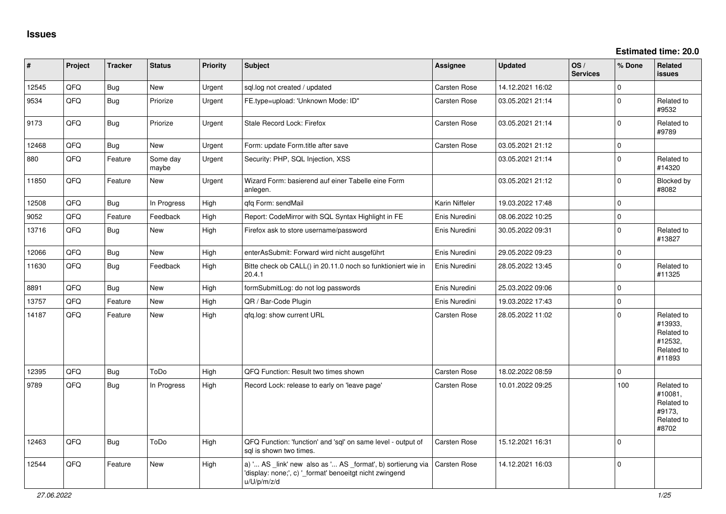**Estimated time: 20.0**

| #     | Project | <b>Tracker</b> | <b>Status</b>     | <b>Priority</b> | Subject                                                                                                                               | <b>Assignee</b>     | <b>Updated</b>   | OS/<br><b>Services</b> | % Done      | Related<br><b>issues</b>                                               |
|-------|---------|----------------|-------------------|-----------------|---------------------------------------------------------------------------------------------------------------------------------------|---------------------|------------------|------------------------|-------------|------------------------------------------------------------------------|
| 12545 | QFQ     | <b>Bug</b>     | New               | Urgent          | sql.log not created / updated                                                                                                         | Carsten Rose        | 14.12.2021 16:02 |                        | $\Omega$    |                                                                        |
| 9534  | QFQ     | Bug            | Priorize          | Urgent          | FE.type=upload: 'Unknown Mode: ID"                                                                                                    | <b>Carsten Rose</b> | 03.05.2021 21:14 |                        | $\Omega$    | Related to<br>#9532                                                    |
| 9173  | QFQ     | Bug            | Priorize          | Urgent          | Stale Record Lock: Firefox                                                                                                            | Carsten Rose        | 03.05.2021 21:14 |                        | $\Omega$    | Related to<br>#9789                                                    |
| 12468 | QFQ     | <b>Bug</b>     | <b>New</b>        | Urgent          | Form: update Form.title after save                                                                                                    | Carsten Rose        | 03.05.2021 21:12 |                        | $\Omega$    |                                                                        |
| 880   | QFQ     | Feature        | Some day<br>maybe | Urgent          | Security: PHP, SQL Injection, XSS                                                                                                     |                     | 03.05.2021 21:14 |                        | $\Omega$    | Related to<br>#14320                                                   |
| 11850 | QFQ     | Feature        | New               | Urgent          | Wizard Form: basierend auf einer Tabelle eine Form<br>anlegen.                                                                        |                     | 03.05.2021 21:12 |                        | $\Omega$    | Blocked by<br>#8082                                                    |
| 12508 | QFQ     | <b>Bug</b>     | In Progress       | High            | qfq Form: sendMail                                                                                                                    | Karin Niffeler      | 19.03.2022 17:48 |                        | $\Omega$    |                                                                        |
| 9052  | QFQ     | Feature        | Feedback          | High            | Report: CodeMirror with SQL Syntax Highlight in FE                                                                                    | Enis Nuredini       | 08.06.2022 10:25 |                        | $\Omega$    |                                                                        |
| 13716 | QFQ     | <b>Bug</b>     | <b>New</b>        | High            | Firefox ask to store username/password                                                                                                | Enis Nuredini       | 30.05.2022 09:31 |                        | $\Omega$    | Related to<br>#13827                                                   |
| 12066 | QFQ     | <b>Bug</b>     | <b>New</b>        | High            | enterAsSubmit: Forward wird nicht ausgeführt                                                                                          | Enis Nuredini       | 29.05.2022 09:23 |                        | $\Omega$    |                                                                        |
| 11630 | QFQ     | <b>Bug</b>     | Feedback          | High            | Bitte check ob CALL() in 20.11.0 noch so funktioniert wie in<br>20.4.1                                                                | Enis Nuredini       | 28.05.2022 13:45 |                        | $\Omega$    | Related to<br>#11325                                                   |
| 8891  | QFQ     | <b>Bug</b>     | <b>New</b>        | High            | formSubmitLog: do not log passwords                                                                                                   | Enis Nuredini       | 25.03.2022 09:06 |                        | $\Omega$    |                                                                        |
| 13757 | QFQ     | Feature        | New               | High            | QR / Bar-Code Plugin                                                                                                                  | Enis Nuredini       | 19.03.2022 17:43 |                        | $\mathbf 0$ |                                                                        |
| 14187 | QFQ     | Feature        | New               | High            | gfg.log: show current URL                                                                                                             | Carsten Rose        | 28.05.2022 11:02 |                        | $\Omega$    | Related to<br>#13933,<br>Related to<br>#12532,<br>Related to<br>#11893 |
| 12395 | QFQ     | Bug            | ToDo              | High            | QFQ Function: Result two times shown                                                                                                  | Carsten Rose        | 18.02.2022 08:59 |                        | 0           |                                                                        |
| 9789  | QFQ     | <b>Bug</b>     | In Progress       | High            | Record Lock: release to early on 'leave page'                                                                                         | <b>Carsten Rose</b> | 10.01.2022 09:25 |                        | 100         | Related to<br>#10081,<br>Related to<br>#9173.<br>Related to<br>#8702   |
| 12463 | QFQ     | <b>Bug</b>     | ToDo              | High            | QFQ Function: 'function' and 'sql' on same level - output of<br>sal is shown two times.                                               | Carsten Rose        | 15.12.2021 16:31 |                        | $\Omega$    |                                                                        |
| 12544 | QFQ     | Feature        | <b>New</b>        | High            | a) ' AS _link' new also as ' AS _format', b) sortierung via<br>'display: none;', c) '_format' benoeitgt nicht zwingend<br>u/U/p/m/z/d | Carsten Rose        | 14.12.2021 16:03 |                        | $\Omega$    |                                                                        |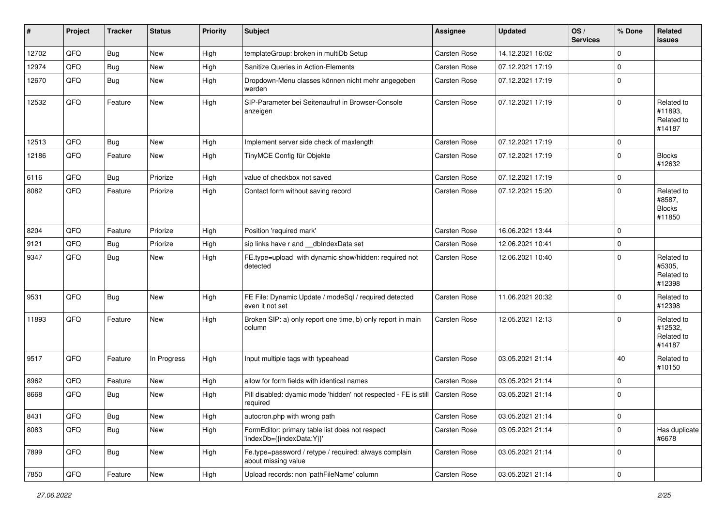| #     | Project | <b>Tracker</b> | <b>Status</b> | <b>Priority</b> | <b>Subject</b>                                                               | <b>Assignee</b>     | <b>Updated</b>   | OS/<br><b>Services</b> | % Done      | Related<br><b>issues</b>                        |
|-------|---------|----------------|---------------|-----------------|------------------------------------------------------------------------------|---------------------|------------------|------------------------|-------------|-------------------------------------------------|
| 12702 | QFQ     | Bug            | New           | High            | templateGroup: broken in multiDb Setup                                       | <b>Carsten Rose</b> | 14.12.2021 16:02 |                        | $\mathbf 0$ |                                                 |
| 12974 | QFQ     | Bug            | New           | High            | Sanitize Queries in Action-Elements                                          | Carsten Rose        | 07.12.2021 17:19 |                        | $\Omega$    |                                                 |
| 12670 | QFQ     | <b>Bug</b>     | New           | High            | Dropdown-Menu classes können nicht mehr angegeben<br>werden                  | Carsten Rose        | 07.12.2021 17:19 |                        | $\mathbf 0$ |                                                 |
| 12532 | QFQ     | Feature        | New           | High            | SIP-Parameter bei Seitenaufruf in Browser-Console<br>anzeigen                | Carsten Rose        | 07.12.2021 17:19 |                        | 0           | Related to<br>#11893,<br>Related to<br>#14187   |
| 12513 | QFQ     | Bug            | <b>New</b>    | High            | Implement server side check of maxlength                                     | Carsten Rose        | 07.12.2021 17:19 |                        | 0           |                                                 |
| 12186 | QFQ     | Feature        | New           | High            | TinyMCE Config für Objekte                                                   | Carsten Rose        | 07.12.2021 17:19 |                        | $\mathbf 0$ | <b>Blocks</b><br>#12632                         |
| 6116  | QFQ     | Bug            | Priorize      | High            | value of checkbox not saved                                                  | Carsten Rose        | 07.12.2021 17:19 |                        | 0           |                                                 |
| 8082  | QFQ     | Feature        | Priorize      | High            | Contact form without saving record                                           | Carsten Rose        | 07.12.2021 15:20 |                        | 0           | Related to<br>#8587,<br><b>Blocks</b><br>#11850 |
| 8204  | QFQ     | Feature        | Priorize      | High            | Position 'required mark'                                                     | Carsten Rose        | 16.06.2021 13:44 |                        | $\Omega$    |                                                 |
| 9121  | QFQ     | <b>Bug</b>     | Priorize      | High            | sip links have r and __dbIndexData set                                       | Carsten Rose        | 12.06.2021 10:41 |                        | $\Omega$    |                                                 |
| 9347  | QFQ     | <b>Bug</b>     | New           | High            | FE.type=upload with dynamic show/hidden: required not<br>detected            | Carsten Rose        | 12.06.2021 10:40 |                        | 0           | Related to<br>#5305,<br>Related to<br>#12398    |
| 9531  | QFQ     | Bug            | New           | High            | FE File: Dynamic Update / modeSql / required detected<br>even it not set     | Carsten Rose        | 11.06.2021 20:32 |                        | $\Omega$    | Related to<br>#12398                            |
| 11893 | QFQ     | Feature        | <b>New</b>    | High            | Broken SIP: a) only report one time, b) only report in main<br>column        | Carsten Rose        | 12.05.2021 12:13 |                        | $\Omega$    | Related to<br>#12532,<br>Related to<br>#14187   |
| 9517  | QFQ     | Feature        | In Progress   | High            | Input multiple tags with typeahead                                           | <b>Carsten Rose</b> | 03.05.2021 21:14 |                        | 40          | Related to<br>#10150                            |
| 8962  | QFQ     | Feature        | New           | High            | allow for form fields with identical names                                   | Carsten Rose        | 03.05.2021 21:14 |                        | $\Omega$    |                                                 |
| 8668  | QFQ     | Bug            | New           | High            | Pill disabled: dyamic mode 'hidden' not respected - FE is still<br>required  | Carsten Rose        | 03.05.2021 21:14 |                        | $\mathbf 0$ |                                                 |
| 8431  | QFG     | <b>Bug</b>     | New           | High            | autocron.php with wrong path                                                 | Carsten Rose        | 03.05.2021 21:14 |                        | $\pmb{0}$   |                                                 |
| 8083  | QFQ     | <b>Bug</b>     | New           | High            | FormEditor: primary table list does not respect<br>'indexDb={{indexData:Y}}' | Carsten Rose        | 03.05.2021 21:14 |                        | 0           | Has duplicate<br>#6678                          |
| 7899  | QFQ     | Bug            | New           | High            | Fe.type=password / retype / required: always complain<br>about missing value | Carsten Rose        | 03.05.2021 21:14 |                        | 0           |                                                 |
| 7850  | QFQ     | Feature        | New           | High            | Upload records: non 'pathFileName' column                                    | Carsten Rose        | 03.05.2021 21:14 |                        | 0           |                                                 |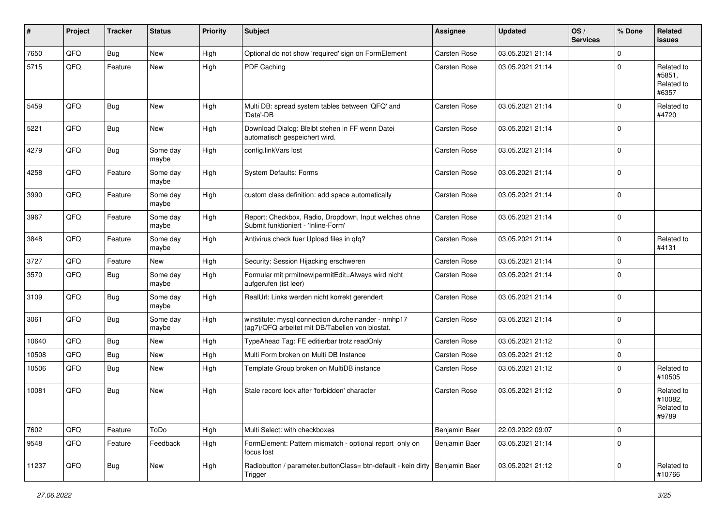| #     | Project | <b>Tracker</b> | <b>Status</b>     | <b>Priority</b> | <b>Subject</b>                                                                                         | <b>Assignee</b> | <b>Updated</b>   | OS/<br><b>Services</b> | % Done      | Related<br><b>issues</b>                     |
|-------|---------|----------------|-------------------|-----------------|--------------------------------------------------------------------------------------------------------|-----------------|------------------|------------------------|-------------|----------------------------------------------|
| 7650  | QFQ     | <b>Bug</b>     | <b>New</b>        | High            | Optional do not show 'required' sign on FormElement                                                    | Carsten Rose    | 03.05.2021 21:14 |                        | 0           |                                              |
| 5715  | QFQ     | Feature        | New               | High            | PDF Caching                                                                                            | Carsten Rose    | 03.05.2021 21:14 |                        | $\Omega$    | Related to<br>#5851,<br>Related to<br>#6357  |
| 5459  | QFQ     | Bug            | <b>New</b>        | High            | Multi DB: spread system tables between 'QFQ' and<br>'Data'-DB                                          | Carsten Rose    | 03.05.2021 21:14 |                        | $\Omega$    | Related to<br>#4720                          |
| 5221  | QFQ     | <b>Bug</b>     | <b>New</b>        | High            | Download Dialog: Bleibt stehen in FF wenn Datei<br>automatisch gespeichert wird.                       | Carsten Rose    | 03.05.2021 21:14 |                        | $\Omega$    |                                              |
| 4279  | QFQ     | <b>Bug</b>     | Some day<br>maybe | High            | config.linkVars lost                                                                                   | Carsten Rose    | 03.05.2021 21:14 |                        | $\Omega$    |                                              |
| 4258  | QFQ     | Feature        | Some day<br>maybe | High            | System Defaults: Forms                                                                                 | Carsten Rose    | 03.05.2021 21:14 |                        | $\Omega$    |                                              |
| 3990  | QFQ     | Feature        | Some day<br>maybe | High            | custom class definition: add space automatically                                                       | Carsten Rose    | 03.05.2021 21:14 |                        | $\Omega$    |                                              |
| 3967  | QFQ     | Feature        | Some day<br>maybe | High            | Report: Checkbox, Radio, Dropdown, Input welches ohne<br>Submit funktioniert - 'Inline-Form'           | Carsten Rose    | 03.05.2021 21:14 |                        | $\Omega$    |                                              |
| 3848  | QFQ     | Feature        | Some day<br>maybe | High            | Antivirus check fuer Upload files in qfq?                                                              | Carsten Rose    | 03.05.2021 21:14 |                        | $\Omega$    | Related to<br>#4131                          |
| 3727  | QFQ     | Feature        | New               | High            | Security: Session Hijacking erschweren                                                                 | Carsten Rose    | 03.05.2021 21:14 |                        | $\Omega$    |                                              |
| 3570  | QFQ     | <b>Bug</b>     | Some day<br>maybe | High            | Formular mit prmitnew permitEdit=Always wird nicht<br>aufgerufen (ist leer)                            | Carsten Rose    | 03.05.2021 21:14 |                        | $\Omega$    |                                              |
| 3109  | QFQ     | <b>Bug</b>     | Some day<br>maybe | High            | RealUrl: Links werden nicht korrekt gerendert                                                          | Carsten Rose    | 03.05.2021 21:14 |                        | $\Omega$    |                                              |
| 3061  | QFQ     | <b>Bug</b>     | Some day<br>maybe | High            | winstitute: mysql connection durcheinander - nmhp17<br>(ag7)/QFQ arbeitet mit DB/Tabellen von biostat. | Carsten Rose    | 03.05.2021 21:14 |                        | $\Omega$    |                                              |
| 10640 | QFQ     | <b>Bug</b>     | New               | High            | TypeAhead Tag: FE editierbar trotz readOnly                                                            | Carsten Rose    | 03.05.2021 21:12 |                        | $\Omega$    |                                              |
| 10508 | QFQ     | Bug            | New               | High            | Multi Form broken on Multi DB Instance                                                                 | Carsten Rose    | 03.05.2021 21:12 |                        | $\mathbf 0$ |                                              |
| 10506 | QFQ     | Bug            | <b>New</b>        | High            | Template Group broken on MultiDB instance                                                              | Carsten Rose    | 03.05.2021 21:12 |                        | $\Omega$    | Related to<br>#10505                         |
| 10081 | QFQ     | <b>Bug</b>     | <b>New</b>        | High            | Stale record lock after 'forbidden' character                                                          | Carsten Rose    | 03.05.2021 21:12 |                        | $\Omega$    | Related to<br>#10082.<br>Related to<br>#9789 |
| 7602  | QFQ     | Feature        | ToDo              | High            | Multi Select: with checkboxes                                                                          | Benjamin Baer   | 22.03.2022 09:07 |                        | 0           |                                              |
| 9548  | QFQ     | Feature        | Feedback          | High            | FormElement: Pattern mismatch - optional report only on<br>focus lost                                  | Benjamin Baer   | 03.05.2021 21:14 |                        | $\mathbf 0$ |                                              |
| 11237 | QFQ     | <b>Bug</b>     | New               | High            | Radiobutton / parameter.buttonClass= btn-default - kein dirty<br>Trigger                               | Benjamin Baer   | 03.05.2021 21:12 |                        | 0           | Related to<br>#10766                         |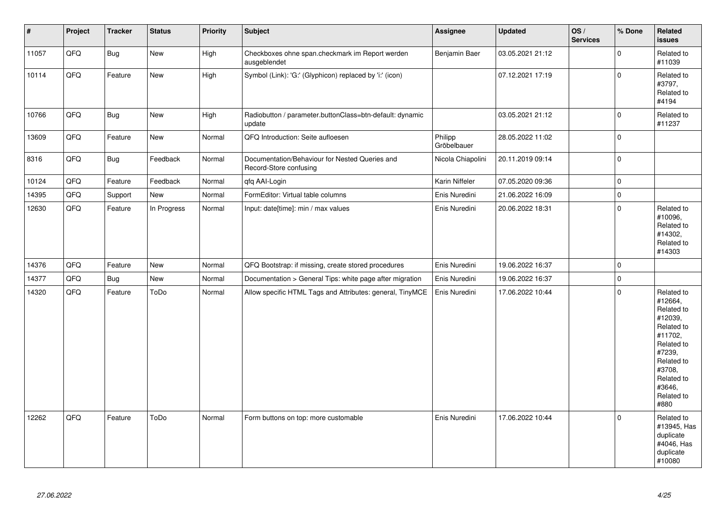| $\vert$ # | Project | <b>Tracker</b> | <b>Status</b> | <b>Priority</b> | <b>Subject</b>                                                           | Assignee               | <b>Updated</b>   | OS/<br><b>Services</b> | % Done      | Related<br><b>issues</b>                                                                                                                                              |
|-----------|---------|----------------|---------------|-----------------|--------------------------------------------------------------------------|------------------------|------------------|------------------------|-------------|-----------------------------------------------------------------------------------------------------------------------------------------------------------------------|
| 11057     | QFQ     | Bug            | New           | High            | Checkboxes ohne span.checkmark im Report werden<br>ausgeblendet          | Benjamin Baer          | 03.05.2021 21:12 |                        | $\pmb{0}$   | Related to<br>#11039                                                                                                                                                  |
| 10114     | QFQ     | Feature        | New           | High            | Symbol (Link): 'G:' (Glyphicon) replaced by 'i:' (icon)                  |                        | 07.12.2021 17:19 |                        | 0           | Related to<br>#3797,<br>Related to<br>#4194                                                                                                                           |
| 10766     | QFQ     | Bug            | New           | High            | Radiobutton / parameter.buttonClass=btn-default: dynamic<br>update       |                        | 03.05.2021 21:12 |                        | $\pmb{0}$   | Related to<br>#11237                                                                                                                                                  |
| 13609     | QFQ     | Feature        | New           | Normal          | QFQ Introduction: Seite aufloesen                                        | Philipp<br>Gröbelbauer | 28.05.2022 11:02 |                        | 0           |                                                                                                                                                                       |
| 8316      | QFQ     | Bug            | Feedback      | Normal          | Documentation/Behaviour for Nested Queries and<br>Record-Store confusing | Nicola Chiapolini      | 20.11.2019 09:14 |                        | $\pmb{0}$   |                                                                                                                                                                       |
| 10124     | QFQ     | Feature        | Feedback      | Normal          | qfq AAI-Login                                                            | Karin Niffeler         | 07.05.2020 09:36 |                        | 0           |                                                                                                                                                                       |
| 14395     | QFQ     | Support        | New           | Normal          | FormEditor: Virtual table columns                                        | Enis Nuredini          | 21.06.2022 16:09 |                        | $\pmb{0}$   |                                                                                                                                                                       |
| 12630     | QFQ     | Feature        | In Progress   | Normal          | Input: date[time]: min / max values                                      | Enis Nuredini          | 20.06.2022 18:31 |                        | $\mathsf 0$ | Related to<br>#10096,<br>Related to<br>#14302,<br>Related to<br>#14303                                                                                                |
| 14376     | QFQ     | Feature        | <b>New</b>    | Normal          | QFQ Bootstrap: if missing, create stored procedures                      | Enis Nuredini          | 19.06.2022 16:37 |                        | $\pmb{0}$   |                                                                                                                                                                       |
| 14377     | QFQ     | <b>Bug</b>     | New           | Normal          | Documentation > General Tips: white page after migration                 | Enis Nuredini          | 19.06.2022 16:37 |                        | $\mathsf 0$ |                                                                                                                                                                       |
| 14320     | QFQ     | Feature        | ToDo          | Normal          | Allow specific HTML Tags and Attributes: general, TinyMCE                | Enis Nuredini          | 17.06.2022 10:44 |                        | 0           | Related to<br>#12664,<br>Related to<br>#12039,<br>Related to<br>#11702,<br>Related to<br>#7239,<br>Related to<br>#3708,<br>Related to<br>#3646,<br>Related to<br>#880 |
| 12262     | QFQ     | Feature        | ToDo          | Normal          | Form buttons on top: more customable                                     | Enis Nuredini          | 17.06.2022 10:44 |                        | 0           | Related to<br>#13945, Has<br>duplicate<br>#4046, Has<br>duplicate<br>#10080                                                                                           |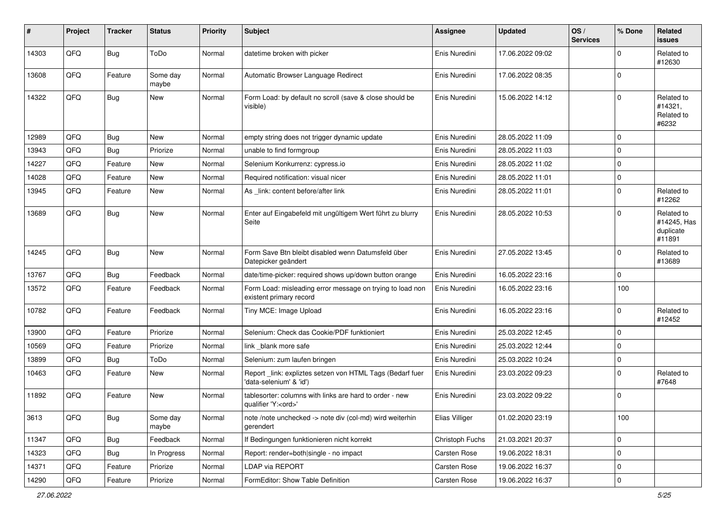| #     | Project | <b>Tracker</b> | <b>Status</b>     | <b>Priority</b> | <b>Subject</b>                                                                        | <b>Assignee</b> | <b>Updated</b>   | OS/<br><b>Services</b> | % Done      | Related<br><b>issues</b>                         |
|-------|---------|----------------|-------------------|-----------------|---------------------------------------------------------------------------------------|-----------------|------------------|------------------------|-------------|--------------------------------------------------|
| 14303 | QFQ     | Bug            | ToDo              | Normal          | datetime broken with picker                                                           | Enis Nuredini   | 17.06.2022 09:02 |                        | $\Omega$    | Related to<br>#12630                             |
| 13608 | QFQ     | Feature        | Some day<br>maybe | Normal          | Automatic Browser Language Redirect                                                   | Enis Nuredini   | 17.06.2022 08:35 |                        | $\mathbf 0$ |                                                  |
| 14322 | QFQ     | Bug            | New               | Normal          | Form Load: by default no scroll (save & close should be<br>visible)                   | Enis Nuredini   | 15.06.2022 14:12 |                        | $\Omega$    | Related to<br>#14321,<br>Related to<br>#6232     |
| 12989 | QFQ     | <b>Bug</b>     | New               | Normal          | empty string does not trigger dynamic update                                          | Enis Nuredini   | 28.05.2022 11:09 |                        | $\mathbf 0$ |                                                  |
| 13943 | QFQ     | <b>Bug</b>     | Priorize          | Normal          | unable to find formgroup                                                              | Enis Nuredini   | 28.05.2022 11:03 |                        | 0           |                                                  |
| 14227 | QFQ     | Feature        | New               | Normal          | Selenium Konkurrenz: cypress.io                                                       | Enis Nuredini   | 28.05.2022 11:02 |                        | $\Omega$    |                                                  |
| 14028 | QFQ     | Feature        | <b>New</b>        | Normal          | Required notification: visual nicer                                                   | Enis Nuredini   | 28.05.2022 11:01 |                        | $\Omega$    |                                                  |
| 13945 | QFQ     | Feature        | New               | Normal          | As link: content before/after link                                                    | Enis Nuredini   | 28.05.2022 11:01 |                        | $\Omega$    | Related to<br>#12262                             |
| 13689 | QFQ     | Bug            | New               | Normal          | Enter auf Eingabefeld mit ungültigem Wert führt zu blurry<br>Seite                    | Enis Nuredini   | 28.05.2022 10:53 |                        | $\Omega$    | Related to<br>#14245, Has<br>duplicate<br>#11891 |
| 14245 | QFQ     | Bug            | New               | Normal          | Form Save Btn bleibt disabled wenn Datumsfeld über<br>Datepicker geändert             | Enis Nuredini   | 27.05.2022 13:45 |                        | $\Omega$    | Related to<br>#13689                             |
| 13767 | QFQ     | Bug            | Feedback          | Normal          | date/time-picker: required shows up/down button orange                                | Enis Nuredini   | 16.05.2022 23:16 |                        | $\mathbf 0$ |                                                  |
| 13572 | QFQ     | Feature        | Feedback          | Normal          | Form Load: misleading error message on trying to load non<br>existent primary record  | Enis Nuredini   | 16.05.2022 23:16 |                        | 100         |                                                  |
| 10782 | QFQ     | Feature        | Feedback          | Normal          | Tiny MCE: Image Upload                                                                | Enis Nuredini   | 16.05.2022 23:16 |                        | $\Omega$    | Related to<br>#12452                             |
| 13900 | QFQ     | Feature        | Priorize          | Normal          | Selenium: Check das Cookie/PDF funktioniert                                           | Enis Nuredini   | 25.03.2022 12:45 |                        | $\Omega$    |                                                  |
| 10569 | QFQ     | Feature        | Priorize          | Normal          | link blank more safe                                                                  | Enis Nuredini   | 25.03.2022 12:44 |                        | $\Omega$    |                                                  |
| 13899 | QFQ     | Bug            | ToDo              | Normal          | Selenium: zum laufen bringen                                                          | Enis Nuredini   | 25.03.2022 10:24 |                        | $\mathbf 0$ |                                                  |
| 10463 | QFQ     | Feature        | New               | Normal          | Report_link: expliztes setzen von HTML Tags (Bedarf fuer<br>'data-selenium' & 'id')   | Enis Nuredini   | 23.03.2022 09:23 |                        | $\Omega$    | Related to<br>#7648                              |
| 11892 | QFQ     | Feature        | <b>New</b>        | Normal          | tablesorter: columns with links are hard to order - new<br>qualifier 'Y: <ord>'</ord> | Enis Nuredini   | 23.03.2022 09:22 |                        | 0           |                                                  |
| 3613  | QFQ     | Bug            | Some day<br>maybe | Normal          | note /note unchecked -> note div (col-md) wird weiterhin<br>gerendert                 | Elias Villiger  | 01.02.2020 23:19 |                        | 100         |                                                  |
| 11347 | QFQ     | <b>Bug</b>     | Feedback          | Normal          | If Bedingungen funktionieren nicht korrekt                                            | Christoph Fuchs | 21.03.2021 20:37 |                        | $\pmb{0}$   |                                                  |
| 14323 | QFQ     | Bug            | In Progress       | Normal          | Report: render=both single - no impact                                                | Carsten Rose    | 19.06.2022 18:31 |                        | 0           |                                                  |
| 14371 | QFQ     | Feature        | Priorize          | Normal          | LDAP via REPORT                                                                       | Carsten Rose    | 19.06.2022 16:37 |                        | 0           |                                                  |
| 14290 | QFQ     | Feature        | Priorize          | Normal          | FormEditor: Show Table Definition                                                     | Carsten Rose    | 19.06.2022 16:37 |                        | $\mathbf 0$ |                                                  |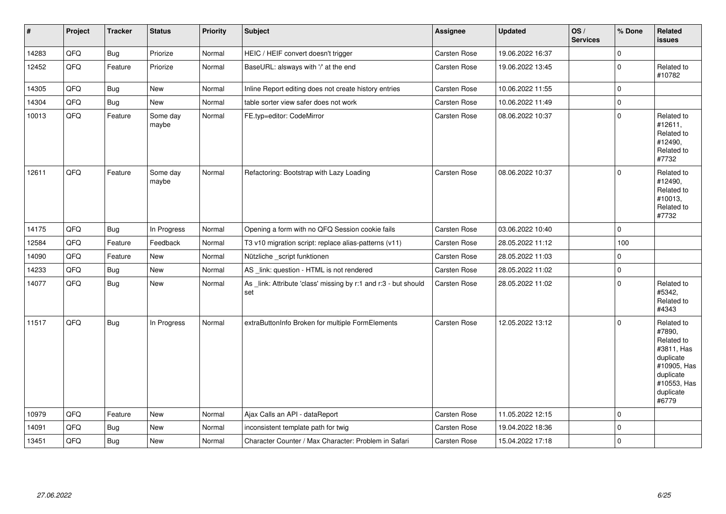| $\vert$ # | Project | <b>Tracker</b> | <b>Status</b>     | <b>Priority</b> | <b>Subject</b>                                                         | Assignee            | <b>Updated</b>   | OS/<br><b>Services</b> | % Done      | Related<br>issues                                                                                                              |
|-----------|---------|----------------|-------------------|-----------------|------------------------------------------------------------------------|---------------------|------------------|------------------------|-------------|--------------------------------------------------------------------------------------------------------------------------------|
| 14283     | QFQ     | Bug            | Priorize          | Normal          | HEIC / HEIF convert doesn't trigger                                    | Carsten Rose        | 19.06.2022 16:37 |                        | $\Omega$    |                                                                                                                                |
| 12452     | QFQ     | Feature        | Priorize          | Normal          | BaseURL: alsways with '/' at the end                                   | <b>Carsten Rose</b> | 19.06.2022 13:45 |                        | 0           | Related to<br>#10782                                                                                                           |
| 14305     | QFQ     | Bug            | <b>New</b>        | Normal          | Inline Report editing does not create history entries                  | <b>Carsten Rose</b> | 10.06.2022 11:55 |                        | 0           |                                                                                                                                |
| 14304     | QFQ     | Bug            | New               | Normal          | table sorter view safer does not work                                  | Carsten Rose        | 10.06.2022 11:49 |                        | 0           |                                                                                                                                |
| 10013     | QFQ     | Feature        | Some day<br>maybe | Normal          | FE.typ=editor: CodeMirror                                              | Carsten Rose        | 08.06.2022 10:37 |                        | 0           | Related to<br>#12611,<br>Related to<br>#12490,<br>Related to<br>#7732                                                          |
| 12611     | QFQ     | Feature        | Some day<br>maybe | Normal          | Refactoring: Bootstrap with Lazy Loading                               | <b>Carsten Rose</b> | 08.06.2022 10:37 |                        | 0           | Related to<br>#12490,<br>Related to<br>#10013,<br>Related to<br>#7732                                                          |
| 14175     | QFQ     | Bug            | In Progress       | Normal          | Opening a form with no QFQ Session cookie fails                        | <b>Carsten Rose</b> | 03.06.2022 10:40 |                        | $\mathbf 0$ |                                                                                                                                |
| 12584     | QFQ     | Feature        | Feedback          | Normal          | T3 v10 migration script: replace alias-patterns (v11)                  | Carsten Rose        | 28.05.2022 11:12 |                        | 100         |                                                                                                                                |
| 14090     | QFQ     | Feature        | New               | Normal          | Nützliche _script funktionen                                           | Carsten Rose        | 28.05.2022 11:03 |                        | 0           |                                                                                                                                |
| 14233     | QFQ     | Bug            | New               | Normal          | AS _link: question - HTML is not rendered                              | <b>Carsten Rose</b> | 28.05.2022 11:02 |                        | 0           |                                                                                                                                |
| 14077     | QFQ     | Bug            | New               | Normal          | As _link: Attribute 'class' missing by r:1 and r:3 - but should<br>set | <b>Carsten Rose</b> | 28.05.2022 11:02 |                        | 0           | Related to<br>#5342,<br>Related to<br>#4343                                                                                    |
| 11517     | QFQ     | <b>Bug</b>     | In Progress       | Normal          | extraButtonInfo Broken for multiple FormElements                       | Carsten Rose        | 12.05.2022 13:12 |                        | $\Omega$    | Related to<br>#7890,<br>Related to<br>#3811, Has<br>duplicate<br>#10905, Has<br>duplicate<br>#10553, Has<br>duplicate<br>#6779 |
| 10979     | QFQ     | Feature        | <b>New</b>        | Normal          | Ajax Calls an API - dataReport                                         | <b>Carsten Rose</b> | 11.05.2022 12:15 |                        | 0           |                                                                                                                                |
| 14091     | QFQ     | <b>Bug</b>     | New               | Normal          | inconsistent template path for twig                                    | <b>Carsten Rose</b> | 19.04.2022 18:36 |                        | 0           |                                                                                                                                |
| 13451     | QFQ     | <b>Bug</b>     | New               | Normal          | Character Counter / Max Character: Problem in Safari                   | <b>Carsten Rose</b> | 15.04.2022 17:18 |                        | 0           |                                                                                                                                |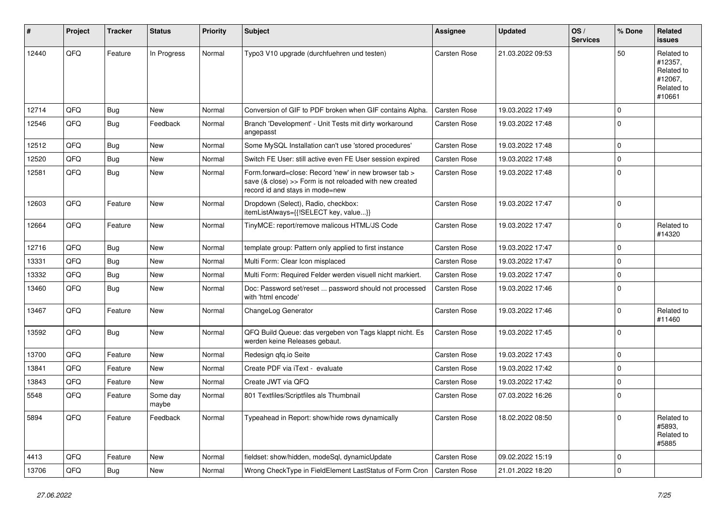| #     | Project | <b>Tracker</b> | <b>Status</b>     | <b>Priority</b> | <b>Subject</b>                                                                                                                                      | <b>Assignee</b>     | <b>Updated</b>   | OS/<br><b>Services</b> | % Done      | Related<br><b>issues</b>                                               |
|-------|---------|----------------|-------------------|-----------------|-----------------------------------------------------------------------------------------------------------------------------------------------------|---------------------|------------------|------------------------|-------------|------------------------------------------------------------------------|
| 12440 | QFQ     | Feature        | In Progress       | Normal          | Typo3 V10 upgrade (durchfuehren und testen)                                                                                                         | Carsten Rose        | 21.03.2022 09:53 |                        | 50          | Related to<br>#12357,<br>Related to<br>#12067,<br>Related to<br>#10661 |
| 12714 | QFQ     | <b>Bug</b>     | New               | Normal          | Conversion of GIF to PDF broken when GIF contains Alpha.                                                                                            | Carsten Rose        | 19.03.2022 17:49 |                        | $\mathbf 0$ |                                                                        |
| 12546 | QFQ     | <b>Bug</b>     | Feedback          | Normal          | Branch 'Development' - Unit Tests mit dirty workaround<br>angepasst                                                                                 | Carsten Rose        | 19.03.2022 17:48 |                        | $\Omega$    |                                                                        |
| 12512 | QFQ     | <b>Bug</b>     | New               | Normal          | Some MySQL Installation can't use 'stored procedures'                                                                                               | Carsten Rose        | 19.03.2022 17:48 |                        | $\mathbf 0$ |                                                                        |
| 12520 | QFQ     | <b>Bug</b>     | New               | Normal          | Switch FE User: still active even FE User session expired                                                                                           | Carsten Rose        | 19.03.2022 17:48 |                        | $\mathbf 0$ |                                                                        |
| 12581 | QFQ     | <b>Bug</b>     | New               | Normal          | Form.forward=close: Record 'new' in new browser tab ><br>save (& close) >> Form is not reloaded with new created<br>record id and stays in mode=new | <b>Carsten Rose</b> | 19.03.2022 17:48 |                        | $\mathbf 0$ |                                                                        |
| 12603 | QFQ     | Feature        | New               | Normal          | Dropdown (Select), Radio, checkbox:<br>itemListAlways={{!SELECT key, value}}                                                                        | Carsten Rose        | 19.03.2022 17:47 |                        | $\mathbf 0$ |                                                                        |
| 12664 | QFQ     | Feature        | New               | Normal          | TinyMCE: report/remove malicous HTML/JS Code                                                                                                        | Carsten Rose        | 19.03.2022 17:47 |                        | $\mathbf 0$ | Related to<br>#14320                                                   |
| 12716 | QFQ     | <b>Bug</b>     | <b>New</b>        | Normal          | template group: Pattern only applied to first instance                                                                                              | <b>Carsten Rose</b> | 19.03.2022 17:47 |                        | $\mathbf 0$ |                                                                        |
| 13331 | QFQ     | <b>Bug</b>     | <b>New</b>        | Normal          | Multi Form: Clear Icon misplaced                                                                                                                    | Carsten Rose        | 19.03.2022 17:47 |                        | $\mathbf 0$ |                                                                        |
| 13332 | QFQ     | <b>Bug</b>     | New               | Normal          | Multi Form: Required Felder werden visuell nicht markiert.                                                                                          | Carsten Rose        | 19.03.2022 17:47 |                        | $\mathbf 0$ |                                                                        |
| 13460 | QFQ     | Bug            | New               | Normal          | Doc: Password set/reset  password should not processed<br>with 'html encode'                                                                        | Carsten Rose        | 19.03.2022 17:46 |                        | $\Omega$    |                                                                        |
| 13467 | QFQ     | Feature        | New               | Normal          | ChangeLog Generator                                                                                                                                 | Carsten Rose        | 19.03.2022 17:46 |                        | $\mathbf 0$ | Related to<br>#11460                                                   |
| 13592 | QFQ     | <b>Bug</b>     | New               | Normal          | QFQ Build Queue: das vergeben von Tags klappt nicht. Es<br>werden keine Releases gebaut.                                                            | Carsten Rose        | 19.03.2022 17:45 |                        | $\mathbf 0$ |                                                                        |
| 13700 | QFQ     | Feature        | New               | Normal          | Redesign qfq.io Seite                                                                                                                               | Carsten Rose        | 19.03.2022 17:43 |                        | $\mathbf 0$ |                                                                        |
| 13841 | QFQ     | Feature        | New               | Normal          | Create PDF via iText - evaluate                                                                                                                     | Carsten Rose        | 19.03.2022 17:42 |                        | $\Omega$    |                                                                        |
| 13843 | QFQ     | Feature        | New               | Normal          | Create JWT via QFQ                                                                                                                                  | Carsten Rose        | 19.03.2022 17:42 |                        | $\mathbf 0$ |                                                                        |
| 5548  | QFQ     | Feature        | Some day<br>maybe | Normal          | 801 Textfiles/Scriptfiles als Thumbnail                                                                                                             | <b>Carsten Rose</b> | 07.03.2022 16:26 |                        | $\mathbf 0$ |                                                                        |
| 5894  | QFQ     | Feature        | Feedback          | Normal          | Typeahead in Report: show/hide rows dynamically                                                                                                     | Carsten Rose        | 18.02.2022 08:50 |                        | $\mathbf 0$ | Related to<br>#5893,<br>Related to<br>#5885                            |
| 4413  | QFQ     | Feature        | New               | Normal          | fieldset: show/hidden, modeSql, dynamicUpdate                                                                                                       | Carsten Rose        | 09.02.2022 15:19 |                        | 0           |                                                                        |
| 13706 | QFQ     | Bug            | New               | Normal          | Wrong CheckType in FieldElement LastStatus of Form Cron                                                                                             | Carsten Rose        | 21.01.2022 18:20 |                        | 0           |                                                                        |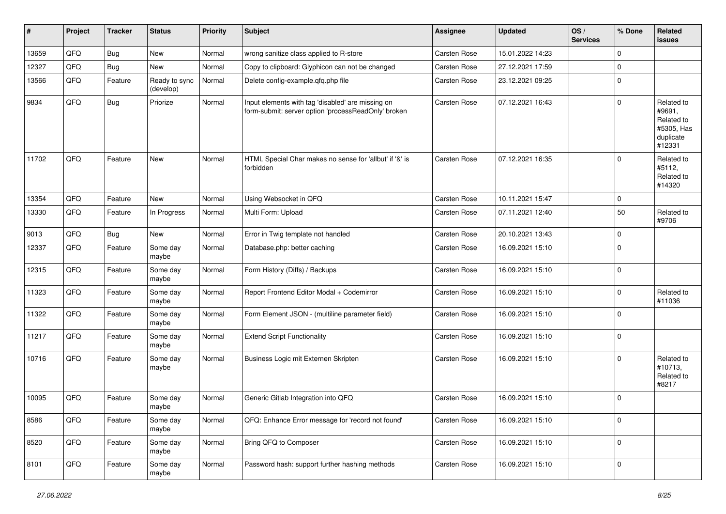| #     | Project | <b>Tracker</b> | <b>Status</b>              | <b>Priority</b> | <b>Subject</b>                                                                                           | Assignee            | <b>Updated</b>   | OS/<br><b>Services</b> | % Done      | Related<br><b>issues</b>                                                |
|-------|---------|----------------|----------------------------|-----------------|----------------------------------------------------------------------------------------------------------|---------------------|------------------|------------------------|-------------|-------------------------------------------------------------------------|
| 13659 | QFQ     | Bug            | New                        | Normal          | wrong sanitize class applied to R-store                                                                  | Carsten Rose        | 15.01.2022 14:23 |                        | $\mathbf 0$ |                                                                         |
| 12327 | QFQ     | Bug            | New                        | Normal          | Copy to clipboard: Glyphicon can not be changed                                                          | Carsten Rose        | 27.12.2021 17:59 |                        | $\Omega$    |                                                                         |
| 13566 | QFQ     | Feature        | Ready to sync<br>(develop) | Normal          | Delete config-example.qfq.php file                                                                       | Carsten Rose        | 23.12.2021 09:25 |                        | $\mathbf 0$ |                                                                         |
| 9834  | QFQ     | Bug            | Priorize                   | Normal          | Input elements with tag 'disabled' are missing on<br>form-submit: server option 'processReadOnly' broken | Carsten Rose        | 07.12.2021 16:43 |                        | 0           | Related to<br>#9691,<br>Related to<br>#5305, Has<br>duplicate<br>#12331 |
| 11702 | QFQ     | Feature        | New                        | Normal          | HTML Special Char makes no sense for 'allbut' if '&' is<br>forbidden                                     | Carsten Rose        | 07.12.2021 16:35 |                        | $\mathbf 0$ | Related to<br>#5112,<br>Related to<br>#14320                            |
| 13354 | QFQ     | Feature        | <b>New</b>                 | Normal          | Using Websocket in QFQ                                                                                   | <b>Carsten Rose</b> | 10.11.2021 15:47 |                        | $\Omega$    |                                                                         |
| 13330 | QFQ     | Feature        | In Progress                | Normal          | Multi Form: Upload                                                                                       | Carsten Rose        | 07.11.2021 12:40 |                        | 50          | Related to<br>#9706                                                     |
| 9013  | QFQ     | Bug            | New                        | Normal          | Error in Twig template not handled                                                                       | <b>Carsten Rose</b> | 20.10.2021 13:43 |                        | 0           |                                                                         |
| 12337 | QFQ     | Feature        | Some day<br>maybe          | Normal          | Database.php: better caching                                                                             | <b>Carsten Rose</b> | 16.09.2021 15:10 |                        | 0           |                                                                         |
| 12315 | QFQ     | Feature        | Some day<br>maybe          | Normal          | Form History (Diffs) / Backups                                                                           | <b>Carsten Rose</b> | 16.09.2021 15:10 |                        | 0           |                                                                         |
| 11323 | QFQ     | Feature        | Some day<br>maybe          | Normal          | Report Frontend Editor Modal + Codemirror                                                                | Carsten Rose        | 16.09.2021 15:10 |                        | 0           | Related to<br>#11036                                                    |
| 11322 | QFQ     | Feature        | Some day<br>maybe          | Normal          | Form Element JSON - (multiline parameter field)                                                          | Carsten Rose        | 16.09.2021 15:10 |                        | $\mathbf 0$ |                                                                         |
| 11217 | QFQ     | Feature        | Some day<br>maybe          | Normal          | <b>Extend Script Functionality</b>                                                                       | Carsten Rose        | 16.09.2021 15:10 |                        | $\mathbf 0$ |                                                                         |
| 10716 | QFQ     | Feature        | Some day<br>maybe          | Normal          | Business Logic mit Externen Skripten                                                                     | <b>Carsten Rose</b> | 16.09.2021 15:10 |                        | 0           | Related to<br>#10713,<br>Related to<br>#8217                            |
| 10095 | QFQ     | Feature        | Some day<br>maybe          | Normal          | Generic Gitlab Integration into QFQ                                                                      | Carsten Rose        | 16.09.2021 15:10 |                        | 0           |                                                                         |
| 8586  | QFQ     | Feature        | Some day<br>maybe          | Normal          | QFQ: Enhance Error message for 'record not found'                                                        | Carsten Rose        | 16.09.2021 15:10 |                        | 0           |                                                                         |
| 8520  | QFQ     | Feature        | Some day<br>maybe          | Normal          | Bring QFQ to Composer                                                                                    | Carsten Rose        | 16.09.2021 15:10 |                        | 0           |                                                                         |
| 8101  | QFQ     | Feature        | Some day<br>maybe          | Normal          | Password hash: support further hashing methods                                                           | Carsten Rose        | 16.09.2021 15:10 |                        | 0           |                                                                         |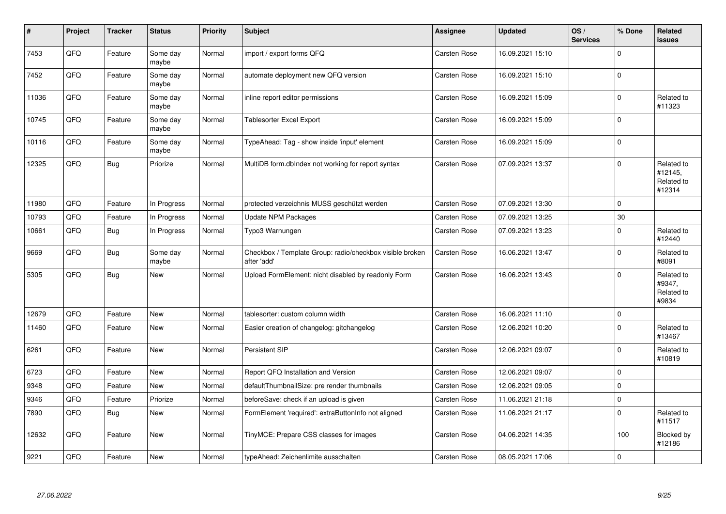| $\vert$ # | Project | <b>Tracker</b> | <b>Status</b>     | <b>Priority</b> | Subject                                                                 | <b>Assignee</b>     | <b>Updated</b>   | OS/<br><b>Services</b> | % Done      | Related<br>issues                             |
|-----------|---------|----------------|-------------------|-----------------|-------------------------------------------------------------------------|---------------------|------------------|------------------------|-------------|-----------------------------------------------|
| 7453      | QFQ     | Feature        | Some day<br>maybe | Normal          | import / export forms QFQ                                               | Carsten Rose        | 16.09.2021 15:10 |                        | $\Omega$    |                                               |
| 7452      | QFQ     | Feature        | Some day<br>maybe | Normal          | automate deployment new QFQ version                                     | Carsten Rose        | 16.09.2021 15:10 |                        | $\mathbf 0$ |                                               |
| 11036     | QFQ     | Feature        | Some day<br>maybe | Normal          | inline report editor permissions                                        | Carsten Rose        | 16.09.2021 15:09 |                        | $\mathbf 0$ | Related to<br>#11323                          |
| 10745     | QFQ     | Feature        | Some day<br>maybe | Normal          | <b>Tablesorter Excel Export</b>                                         | Carsten Rose        | 16.09.2021 15:09 |                        | $\mathbf 0$ |                                               |
| 10116     | QFQ     | Feature        | Some day<br>maybe | Normal          | TypeAhead: Tag - show inside 'input' element                            | <b>Carsten Rose</b> | 16.09.2021 15:09 |                        | $\mathbf 0$ |                                               |
| 12325     | QFQ     | <b>Bug</b>     | Priorize          | Normal          | MultiDB form.dblndex not working for report syntax                      | <b>Carsten Rose</b> | 07.09.2021 13:37 |                        | $\Omega$    | Related to<br>#12145,<br>Related to<br>#12314 |
| 11980     | QFQ     | Feature        | In Progress       | Normal          | protected verzeichnis MUSS geschützt werden                             | Carsten Rose        | 07.09.2021 13:30 |                        | $\mathbf 0$ |                                               |
| 10793     | QFQ     | Feature        | In Progress       | Normal          | <b>Update NPM Packages</b>                                              | Carsten Rose        | 07.09.2021 13:25 |                        | 30          |                                               |
| 10661     | QFQ     | <b>Bug</b>     | In Progress       | Normal          | Typo3 Warnungen                                                         | <b>Carsten Rose</b> | 07.09.2021 13:23 |                        | $\mathbf 0$ | Related to<br>#12440                          |
| 9669      | QFQ     | <b>Bug</b>     | Some day<br>maybe | Normal          | Checkbox / Template Group: radio/checkbox visible broken<br>after 'add' | Carsten Rose        | 16.06.2021 13:47 |                        | $\Omega$    | Related to<br>#8091                           |
| 5305      | QFQ     | <b>Bug</b>     | <b>New</b>        | Normal          | Upload FormElement: nicht disabled by readonly Form                     | Carsten Rose        | 16.06.2021 13:43 |                        | $\Omega$    | Related to<br>#9347,<br>Related to<br>#9834   |
| 12679     | QFQ     | Feature        | <b>New</b>        | Normal          | tablesorter: custom column width                                        | Carsten Rose        | 16.06.2021 11:10 |                        | $\pmb{0}$   |                                               |
| 11460     | QFQ     | Feature        | <b>New</b>        | Normal          | Easier creation of changelog: gitchangelog                              | Carsten Rose        | 12.06.2021 10:20 |                        | $\Omega$    | Related to<br>#13467                          |
| 6261      | QFQ     | Feature        | <b>New</b>        | Normal          | <b>Persistent SIP</b>                                                   | Carsten Rose        | 12.06.2021 09:07 |                        | $\pmb{0}$   | Related to<br>#10819                          |
| 6723      | QFQ     | Feature        | <b>New</b>        | Normal          | Report QFQ Installation and Version                                     | Carsten Rose        | 12.06.2021 09:07 |                        | $\mathbf 0$ |                                               |
| 9348      | QFQ     | Feature        | New               | Normal          | defaultThumbnailSize: pre render thumbnails                             | <b>Carsten Rose</b> | 12.06.2021 09:05 |                        | $\mathbf 0$ |                                               |
| 9346      | QFQ     | Feature        | Priorize          | Normal          | beforeSave: check if an upload is given                                 | <b>Carsten Rose</b> | 11.06.2021 21:18 |                        | $\mathbf 0$ |                                               |
| 7890      | QFQ     | <b>Bug</b>     | <b>New</b>        | Normal          | FormElement 'required': extraButtonInfo not aligned                     | Carsten Rose        | 11.06.2021 21:17 |                        | $\mathbf 0$ | Related to<br>#11517                          |
| 12632     | QFQ     | Feature        | <b>New</b>        | Normal          | TinyMCE: Prepare CSS classes for images                                 | Carsten Rose        | 04.06.2021 14:35 |                        | 100         | Blocked by<br>#12186                          |
| 9221      | QFQ     | Feature        | <b>New</b>        | Normal          | typeAhead: Zeichenlimite ausschalten                                    | <b>Carsten Rose</b> | 08.05.2021 17:06 |                        | $\mathbf 0$ |                                               |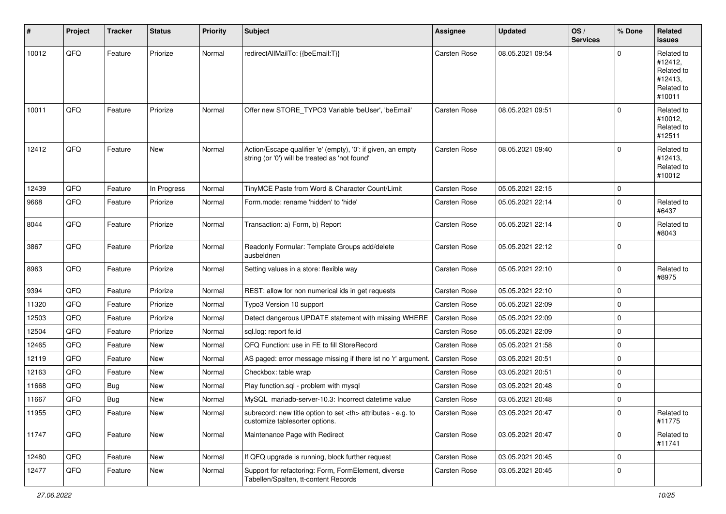| #     | Project | <b>Tracker</b> | <b>Status</b> | <b>Priority</b> | <b>Subject</b>                                                                                                 | Assignee                                               | <b>Updated</b>   | OS/<br><b>Services</b> | % Done       | Related<br><b>issues</b>                                               |                      |
|-------|---------|----------------|---------------|-----------------|----------------------------------------------------------------------------------------------------------------|--------------------------------------------------------|------------------|------------------------|--------------|------------------------------------------------------------------------|----------------------|
| 10012 | QFQ     | Feature        | Priorize      | Normal          | redirectAllMailTo: {{beEmail:T}}                                                                               | <b>Carsten Rose</b>                                    | 08.05.2021 09:54 |                        | $\Omega$     | Related to<br>#12412,<br>Related to<br>#12413,<br>Related to<br>#10011 |                      |
| 10011 | QFQ     | Feature        | Priorize      | Normal          | Offer new STORE_TYPO3 Variable 'beUser', 'beEmail'                                                             | Carsten Rose                                           | 08.05.2021 09:51 |                        | $\Omega$     | Related to<br>#10012,<br>Related to<br>#12511                          |                      |
| 12412 | QFQ     | Feature        | <b>New</b>    | Normal          | Action/Escape qualifier 'e' (empty), '0': if given, an empty<br>string (or '0') will be treated as 'not found' | Carsten Rose                                           | 08.05.2021 09:40 |                        | $\Omega$     | Related to<br>#12413,<br>Related to<br>#10012                          |                      |
| 12439 | QFQ     | Feature        | In Progress   | Normal          | TinyMCE Paste from Word & Character Count/Limit                                                                | <b>Carsten Rose</b>                                    | 05.05.2021 22:15 |                        | 0            |                                                                        |                      |
| 9668  | QFQ     | Feature        | Priorize      | Normal          | Form.mode: rename 'hidden' to 'hide'                                                                           | Carsten Rose                                           | 05.05.2021 22:14 |                        | 0            | Related to<br>#6437                                                    |                      |
| 8044  | QFQ     | Feature        | Priorize      | Normal          | Transaction: a) Form, b) Report                                                                                | Carsten Rose                                           | 05.05.2021 22:14 |                        | 0            | Related to<br>#8043                                                    |                      |
| 3867  | QFQ     | Feature        | Priorize      | Normal          | Readonly Formular: Template Groups add/delete<br>ausbeldnen                                                    | <b>Carsten Rose</b>                                    | 05.05.2021 22:12 |                        | 0            |                                                                        |                      |
| 8963  | QFQ     | Feature        | Priorize      | Normal          | Setting values in a store: flexible way                                                                        | Carsten Rose                                           | 05.05.2021 22:10 |                        | 0            | Related to<br>#8975                                                    |                      |
| 9394  | QFQ     | Feature        | Priorize      | Normal          | REST: allow for non numerical ids in get requests                                                              | <b>Carsten Rose</b>                                    | 05.05.2021 22:10 |                        | 0            |                                                                        |                      |
| 11320 | QFQ     | Feature        | Priorize      | Normal          | Typo3 Version 10 support                                                                                       | <b>Carsten Rose</b>                                    | 05.05.2021 22:09 |                        | 0            |                                                                        |                      |
| 12503 | QFQ     | Feature        | Priorize      | Normal          | Detect dangerous UPDATE statement with missing WHERE                                                           | <b>Carsten Rose</b>                                    | 05.05.2021 22:09 |                        | 0            |                                                                        |                      |
| 12504 | QFQ     | Feature        | Priorize      | Normal          | sql.log: report fe.id                                                                                          | Carsten Rose                                           | 05.05.2021 22:09 |                        | 0            |                                                                        |                      |
| 12465 | QFQ     | Feature        | New           | Normal          | QFQ Function: use in FE to fill StoreRecord                                                                    | Carsten Rose                                           | 05.05.2021 21:58 |                        | 0            |                                                                        |                      |
| 12119 | QFQ     | Feature        | <b>New</b>    | Normal          | AS paged: error message missing if there ist no 'r' argument                                                   | <b>Carsten Rose</b>                                    | 03.05.2021 20:51 |                        | $\Omega$     |                                                                        |                      |
| 12163 | QFQ     | Feature        | New           | Normal          | Checkbox: table wrap                                                                                           | <b>Carsten Rose</b>                                    | 03.05.2021 20:51 |                        | 0            |                                                                        |                      |
| 11668 | QFQ     | Bug            | <b>New</b>    | Normal          | Play function.sql - problem with mysql                                                                         | Carsten Rose                                           | 03.05.2021 20:48 |                        | $\mathbf 0$  |                                                                        |                      |
| 11667 | QFQ     | <b>Bug</b>     | New           | Normal          | MySQL mariadb-server-10.3: Incorrect datetime value                                                            | Carsten Rose                                           | 03.05.2021 20:48 |                        | 0            |                                                                        |                      |
| 11955 | QFQ     | Feature        | New           | Normal          | subrecord: new title option to set <th> attributes - e.g. to<br/>customize tablesorter options.</th>           | attributes - e.g. to<br>customize tablesorter options. | Carsten Rose     | 03.05.2021 20:47       |              | $\overline{0}$                                                         | Related to<br>#11775 |
| 11747 | QFQ     | Feature        | New           | Normal          | Maintenance Page with Redirect                                                                                 | Carsten Rose                                           | 03.05.2021 20:47 |                        | $\mathbf{0}$ | Related to<br>#11741                                                   |                      |
| 12480 | QFQ     | Feature        | New           | Normal          | If QFQ upgrade is running, block further request                                                               | Carsten Rose                                           | 03.05.2021 20:45 |                        | 0            |                                                                        |                      |
| 12477 | QFQ     | Feature        | New           | Normal          | Support for refactoring: Form, FormElement, diverse<br>Tabellen/Spalten, tt-content Records                    | Carsten Rose                                           | 03.05.2021 20:45 |                        | 0            |                                                                        |                      |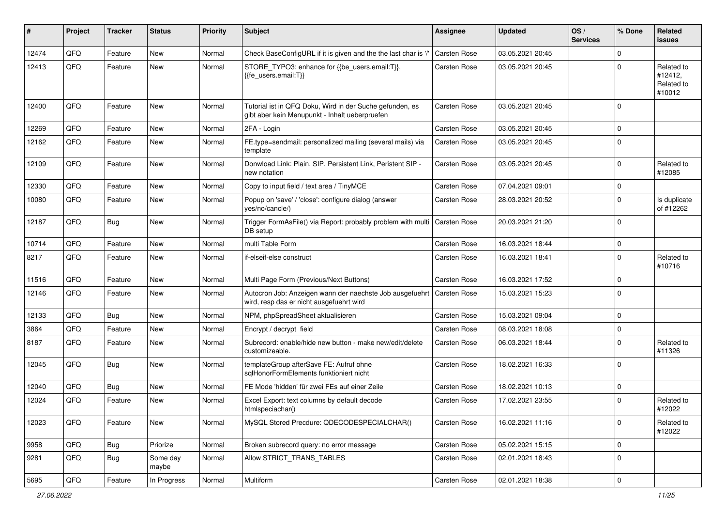| #     | Project | <b>Tracker</b> | <b>Status</b>     | <b>Priority</b> | <b>Subject</b>                                                                                             | <b>Assignee</b>     | <b>Updated</b>   | OS/<br><b>Services</b> | % Done      | Related<br><b>issues</b>                      |
|-------|---------|----------------|-------------------|-----------------|------------------------------------------------------------------------------------------------------------|---------------------|------------------|------------------------|-------------|-----------------------------------------------|
| 12474 | QFQ     | Feature        | New               | Normal          | Check BaseConfigURL if it is given and the the last char is '/'                                            | <b>Carsten Rose</b> | 03.05.2021 20:45 |                        | $\mathbf 0$ |                                               |
| 12413 | QFQ     | Feature        | New               | Normal          | STORE_TYPO3: enhance for {{be_users.email:T}},<br>{{fe users.email:T}}                                     | Carsten Rose        | 03.05.2021 20:45 |                        | $\Omega$    | Related to<br>#12412,<br>Related to<br>#10012 |
| 12400 | QFQ     | Feature        | New               | Normal          | Tutorial ist in QFQ Doku, Wird in der Suche gefunden, es<br>gibt aber kein Menupunkt - Inhalt ueberpruefen | Carsten Rose        | 03.05.2021 20:45 |                        | $\Omega$    |                                               |
| 12269 | QFQ     | Feature        | New               | Normal          | 2FA - Login                                                                                                | Carsten Rose        | 03.05.2021 20:45 |                        | $\Omega$    |                                               |
| 12162 | QFQ     | Feature        | <b>New</b>        | Normal          | FE.type=sendmail: personalized mailing (several mails) via<br>template                                     | Carsten Rose        | 03.05.2021 20:45 |                        | $\Omega$    |                                               |
| 12109 | QFQ     | Feature        | <b>New</b>        | Normal          | Donwload Link: Plain, SIP, Persistent Link, Peristent SIP -<br>new notation                                | Carsten Rose        | 03.05.2021 20:45 |                        | $\Omega$    | Related to<br>#12085                          |
| 12330 | QFQ     | Feature        | <b>New</b>        | Normal          | Copy to input field / text area / TinyMCE                                                                  | Carsten Rose        | 07.04.2021 09:01 |                        | $\mathbf 0$ |                                               |
| 10080 | QFQ     | Feature        | New               | Normal          | Popup on 'save' / 'close': configure dialog (answer<br>yes/no/cancle/)                                     | Carsten Rose        | 28.03.2021 20:52 |                        | $\mathbf 0$ | Is duplicate<br>of #12262                     |
| 12187 | QFQ     | <b>Bug</b>     | <b>New</b>        | Normal          | Trigger FormAsFile() via Report: probably problem with multi<br>DB setup                                   | Carsten Rose        | 20.03.2021 21:20 |                        | $\Omega$    |                                               |
| 10714 | QFQ     | Feature        | <b>New</b>        | Normal          | multi Table Form                                                                                           | Carsten Rose        | 16.03.2021 18:44 |                        | 0           |                                               |
| 8217  | QFQ     | Feature        | New               | Normal          | if-elseif-else construct                                                                                   | Carsten Rose        | 16.03.2021 18:41 |                        | $\mathbf 0$ | Related to<br>#10716                          |
| 11516 | QFQ     | Feature        | <b>New</b>        | Normal          | Multi Page Form (Previous/Next Buttons)                                                                    | Carsten Rose        | 16.03.2021 17:52 |                        | $\mathbf 0$ |                                               |
| 12146 | QFQ     | Feature        | <b>New</b>        | Normal          | Autocron Job: Anzeigen wann der naechste Job ausgefuehrt<br>wird, resp das er nicht ausgefuehrt wird       | <b>Carsten Rose</b> | 15.03.2021 15:23 |                        | $\Omega$    |                                               |
| 12133 | QFQ     | <b>Bug</b>     | <b>New</b>        | Normal          | NPM, phpSpreadSheet aktualisieren                                                                          | Carsten Rose        | 15.03.2021 09:04 |                        | $\mathbf 0$ |                                               |
| 3864  | QFQ     | Feature        | <b>New</b>        | Normal          | Encrypt / decrypt field                                                                                    | Carsten Rose        | 08.03.2021 18:08 |                        | $\mathbf 0$ |                                               |
| 8187  | QFQ     | Feature        | <b>New</b>        | Normal          | Subrecord: enable/hide new button - make new/edit/delete<br>customizeable.                                 | Carsten Rose        | 06.03.2021 18:44 |                        | $\Omega$    | Related to<br>#11326                          |
| 12045 | QFQ     | <b>Bug</b>     | <b>New</b>        | Normal          | templateGroup afterSave FE: Aufruf ohne<br>sglHonorFormElements funktioniert nicht                         | Carsten Rose        | 18.02.2021 16:33 |                        | $\Omega$    |                                               |
| 12040 | QFQ     | <b>Bug</b>     | New               | Normal          | FE Mode 'hidden' für zwei FEs auf einer Zeile                                                              | Carsten Rose        | 18.02.2021 10:13 |                        | $\Omega$    |                                               |
| 12024 | QFQ     | Feature        | New               | Normal          | Excel Export: text columns by default decode<br>htmlspeciachar()                                           | Carsten Rose        | 17.02.2021 23:55 |                        | $\Omega$    | Related to<br>#12022                          |
| 12023 | QFQ     | Feature        | New               | Normal          | MySQL Stored Precdure: QDECODESPECIALCHAR()                                                                | Carsten Rose        | 16.02.2021 11:16 |                        | 0           | Related to<br>#12022                          |
| 9958  | QFQ     | <b>Bug</b>     | Priorize          | Normal          | Broken subrecord query: no error message                                                                   | Carsten Rose        | 05.02.2021 15:15 |                        | 0           |                                               |
| 9281  | QFQ     | <b>Bug</b>     | Some day<br>maybe | Normal          | Allow STRICT_TRANS_TABLES                                                                                  | Carsten Rose        | 02.01.2021 18:43 |                        | 0           |                                               |
| 5695  | QFQ     | Feature        | In Progress       | Normal          | Multiform                                                                                                  | Carsten Rose        | 02.01.2021 18:38 |                        | 0           |                                               |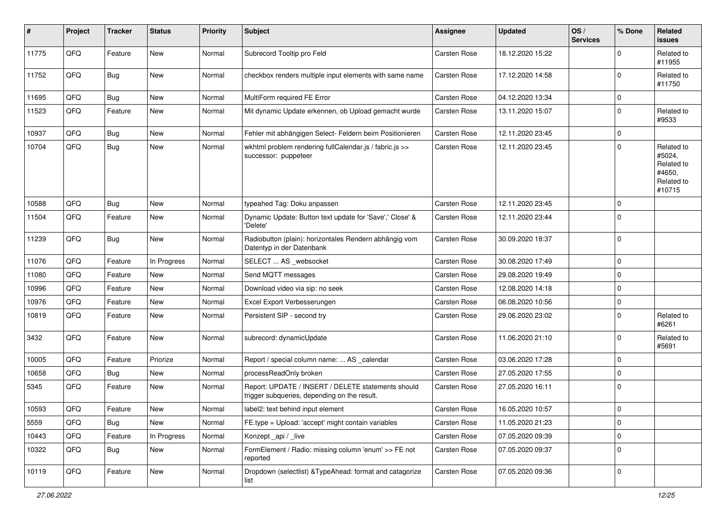| #     | Project | <b>Tracker</b> | <b>Status</b> | <b>Priority</b> | <b>Subject</b>                                                                                     | <b>Assignee</b>     | <b>Updated</b>   | OS/<br><b>Services</b> | % Done   | Related<br><b>issues</b>                                             |
|-------|---------|----------------|---------------|-----------------|----------------------------------------------------------------------------------------------------|---------------------|------------------|------------------------|----------|----------------------------------------------------------------------|
| 11775 | QFQ     | Feature        | New           | Normal          | Subrecord Tooltip pro Feld                                                                         | <b>Carsten Rose</b> | 18.12.2020 15:22 |                        | 0        | Related to<br>#11955                                                 |
| 11752 | QFQ     | Bug            | <b>New</b>    | Normal          | checkbox renders multiple input elements with same name                                            | Carsten Rose        | 17.12.2020 14:58 |                        | $\Omega$ | Related to<br>#11750                                                 |
| 11695 | QFQ     | Bug            | <b>New</b>    | Normal          | MultiForm required FE Error                                                                        | <b>Carsten Rose</b> | 04.12.2020 13:34 |                        | 0        |                                                                      |
| 11523 | QFQ     | Feature        | New           | Normal          | Mit dynamic Update erkennen, ob Upload gemacht wurde                                               | Carsten Rose        | 13.11.2020 15:07 |                        | 0        | Related to<br>#9533                                                  |
| 10937 | QFQ     | Bug            | New           | Normal          | Fehler mit abhängigen Select- Feldern beim Positionieren                                           | Carsten Rose        | 12.11.2020 23:45 |                        | $\Omega$ |                                                                      |
| 10704 | QFQ     | Bug            | New           | Normal          | wkhtml problem rendering fullCalendar.js / fabric.js >><br>successor: puppeteer                    | <b>Carsten Rose</b> | 12.11.2020 23:45 |                        | $\Omega$ | Related to<br>#5024,<br>Related to<br>#4650,<br>Related to<br>#10715 |
| 10588 | QFQ     | Bug            | <b>New</b>    | Normal          | typeahed Tag: Doku anpassen                                                                        | <b>Carsten Rose</b> | 12.11.2020 23:45 |                        | 0        |                                                                      |
| 11504 | QFQ     | Feature        | New           | Normal          | Dynamic Update: Button text update for 'Save',' Close' &<br>'Delete'                               | Carsten Rose        | 12.11.2020 23:44 |                        | $\Omega$ |                                                                      |
| 11239 | QFQ     | <b>Bug</b>     | <b>New</b>    | Normal          | Radiobutton (plain): horizontales Rendern abhängig vom<br>Datentyp in der Datenbank                | <b>Carsten Rose</b> | 30.09.2020 18:37 |                        | 0        |                                                                      |
| 11076 | QFQ     | Feature        | In Progress   | Normal          | SELECT  AS _websocket                                                                              | <b>Carsten Rose</b> | 30.08.2020 17:49 |                        | $\Omega$ |                                                                      |
| 11080 | QFQ     | Feature        | New           | Normal          | Send MQTT messages                                                                                 | <b>Carsten Rose</b> | 29.08.2020 19:49 |                        | $\Omega$ |                                                                      |
| 10996 | QFQ     | Feature        | New           | Normal          | Download video via sip: no seek                                                                    | Carsten Rose        | 12.08.2020 14:18 |                        | $\Omega$ |                                                                      |
| 10976 | QFQ     | Feature        | <b>New</b>    | Normal          | Excel Export Verbesserungen                                                                        | <b>Carsten Rose</b> | 06.08.2020 10:56 |                        | $\Omega$ |                                                                      |
| 10819 | QFQ     | Feature        | New           | Normal          | Persistent SIP - second try                                                                        | <b>Carsten Rose</b> | 29.06.2020 23:02 |                        | 0        | Related to<br>#6261                                                  |
| 3432  | QFQ     | Feature        | <b>New</b>    | Normal          | subrecord: dynamicUpdate                                                                           | <b>Carsten Rose</b> | 11.06.2020 21:10 |                        | 0        | Related to<br>#5691                                                  |
| 10005 | QFQ     | Feature        | Priorize      | Normal          | Report / special column name:  AS _calendar                                                        | <b>Carsten Rose</b> | 03.06.2020 17:28 |                        | 0        |                                                                      |
| 10658 | QFQ     | Bug            | New           | Normal          | processReadOnly broken                                                                             | Carsten Rose        | 27.05.2020 17:55 |                        | 0        |                                                                      |
| 5345  | QFQ     | Feature        | New           | Normal          | Report: UPDATE / INSERT / DELETE statements should<br>trigger subqueries, depending on the result. | <b>Carsten Rose</b> | 27.05.2020 16:11 |                        | $\Omega$ |                                                                      |
| 10593 | QFQ     | Feature        | New           | Normal          | label2: text behind input element                                                                  | <b>Carsten Rose</b> | 16.05.2020 10:57 |                        | 0        |                                                                      |
| 5559  | QFQ     | Bug            | New           | Normal          | FE.type = Upload: 'accept' might contain variables                                                 | Carsten Rose        | 11.05.2020 21:23 |                        | 0        |                                                                      |
| 10443 | QFQ     | Feature        | In Progress   | Normal          | Konzept_api / _live                                                                                | Carsten Rose        | 07.05.2020 09:39 |                        | 0        |                                                                      |
| 10322 | QFQ     | Bug            | New           | Normal          | FormElement / Radio: missing column 'enum' >> FE not<br>reported                                   | Carsten Rose        | 07.05.2020 09:37 |                        | 0        |                                                                      |
| 10119 | QFQ     | Feature        | New           | Normal          | Dropdown (selectlist) & TypeAhead: format and catagorize<br>list                                   | Carsten Rose        | 07.05.2020 09:36 |                        | 0        |                                                                      |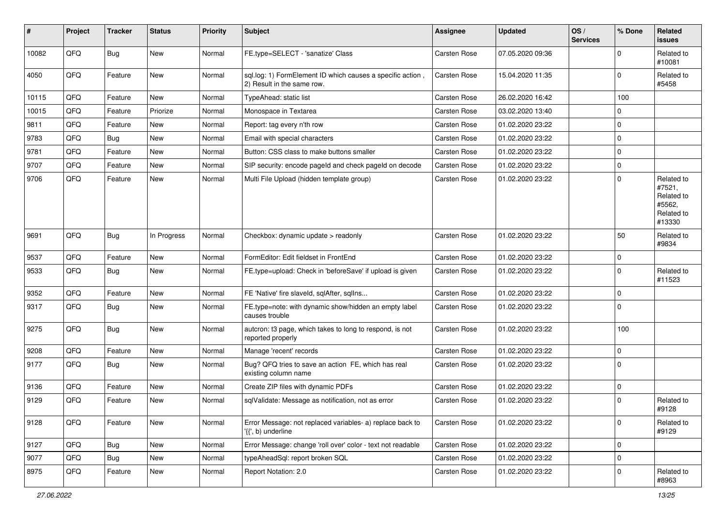| ∦     | Project | <b>Tracker</b> | <b>Status</b> | <b>Priority</b> | <b>Subject</b>                                                                           | <b>Assignee</b> | <b>Updated</b>   | OS/<br><b>Services</b> | % Done      | Related<br>issues                                                    |
|-------|---------|----------------|---------------|-----------------|------------------------------------------------------------------------------------------|-----------------|------------------|------------------------|-------------|----------------------------------------------------------------------|
| 10082 | QFQ     | <b>Bug</b>     | <b>New</b>    | Normal          | FE.type=SELECT - 'sanatize' Class                                                        | Carsten Rose    | 07.05.2020 09:36 |                        | 0           | Related to<br>#10081                                                 |
| 4050  | QFQ     | Feature        | <b>New</b>    | Normal          | sql.log: 1) FormElement ID which causes a specific action,<br>2) Result in the same row. | Carsten Rose    | 15.04.2020 11:35 |                        | 0           | Related to<br>#5458                                                  |
| 10115 | QFQ     | Feature        | New           | Normal          | TypeAhead: static list                                                                   | Carsten Rose    | 26.02.2020 16:42 |                        | 100         |                                                                      |
| 10015 | QFQ     | Feature        | Priorize      | Normal          | Monospace in Textarea                                                                    | Carsten Rose    | 03.02.2020 13:40 |                        | $\Omega$    |                                                                      |
| 9811  | QFQ     | Feature        | New           | Normal          | Report: tag every n'th row                                                               | Carsten Rose    | 01.02.2020 23:22 |                        | 0           |                                                                      |
| 9783  | QFQ     | Bug            | New           | Normal          | Email with special characters                                                            | Carsten Rose    | 01.02.2020 23:22 |                        | 0           |                                                                      |
| 9781  | QFQ     | Feature        | <b>New</b>    | Normal          | Button: CSS class to make buttons smaller                                                | Carsten Rose    | 01.02.2020 23:22 |                        | $\mathbf 0$ |                                                                      |
| 9707  | QFQ     | Feature        | New           | Normal          | SIP security: encode pageld and check pageld on decode                                   | Carsten Rose    | 01.02.2020 23:22 |                        | 0           |                                                                      |
| 9706  | QFQ     | Feature        | New           | Normal          | Multi File Upload (hidden template group)                                                | Carsten Rose    | 01.02.2020 23:22 |                        | $\mathbf 0$ | Related to<br>#7521,<br>Related to<br>#5562,<br>Related to<br>#13330 |
| 9691  | QFQ     | <b>Bug</b>     | In Progress   | Normal          | Checkbox: dynamic update > readonly                                                      | Carsten Rose    | 01.02.2020 23:22 |                        | 50          | Related to<br>#9834                                                  |
| 9537  | QFQ     | Feature        | New           | Normal          | FormEditor: Edit fieldset in FrontEnd                                                    | Carsten Rose    | 01.02.2020 23:22 |                        | 0           |                                                                      |
| 9533  | QFQ     | Bug            | <b>New</b>    | Normal          | FE.type=upload: Check in 'beforeSave' if upload is given                                 | Carsten Rose    | 01.02.2020 23:22 |                        | $\Omega$    | Related to<br>#11523                                                 |
| 9352  | QFQ     | Feature        | <b>New</b>    | Normal          | FE 'Native' fire slaveld, sqlAfter, sqlIns                                               | Carsten Rose    | 01.02.2020 23:22 |                        | 0           |                                                                      |
| 9317  | QFQ     | <b>Bug</b>     | <b>New</b>    | Normal          | FE.type=note: with dynamic show/hidden an empty label<br>causes trouble                  | Carsten Rose    | 01.02.2020 23:22 |                        | $\Omega$    |                                                                      |
| 9275  | QFQ     | Bug            | <b>New</b>    | Normal          | autcron: t3 page, which takes to long to respond, is not<br>reported properly            | Carsten Rose    | 01.02.2020 23:22 |                        | 100         |                                                                      |
| 9208  | QFQ     | Feature        | New           | Normal          | Manage 'recent' records                                                                  | Carsten Rose    | 01.02.2020 23:22 |                        | 0           |                                                                      |
| 9177  | QFQ     | Bug            | <b>New</b>    | Normal          | Bug? QFQ tries to save an action FE, which has real<br>existing column name              | Carsten Rose    | 01.02.2020 23:22 |                        | $\Omega$    |                                                                      |
| 9136  | QFQ     | Feature        | <b>New</b>    | Normal          | Create ZIP files with dynamic PDFs                                                       | Carsten Rose    | 01.02.2020 23:22 |                        | 0           |                                                                      |
| 9129  | QFQ     | Feature        | <b>New</b>    | Normal          | sqlValidate: Message as notification, not as error                                       | Carsten Rose    | 01.02.2020 23:22 |                        | $\Omega$    | Related to<br>#9128                                                  |
| 9128  | QFQ     | Feature        | New           | Normal          | Error Message: not replaced variables- a) replace back to<br>'{{', b) underline          | Carsten Rose    | 01.02.2020 23:22 |                        | $\mathbf 0$ | Related to<br>#9129                                                  |
| 9127  | QFQ     | <b>Bug</b>     | New           | Normal          | Error Message: change 'roll over' color - text not readable                              | Carsten Rose    | 01.02.2020 23:22 |                        | 0           |                                                                      |
| 9077  | QFQ     | <b>Bug</b>     | New           | Normal          | typeAheadSql: report broken SQL                                                          | Carsten Rose    | 01.02.2020 23:22 |                        | 0           |                                                                      |
| 8975  | QFQ     | Feature        | New           | Normal          | Report Notation: 2.0                                                                     | Carsten Rose    | 01.02.2020 23:22 |                        | 0           | Related to<br>#8963                                                  |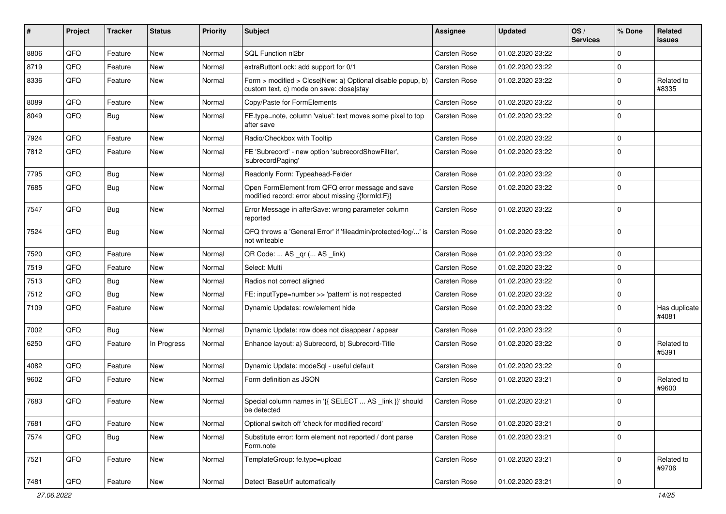| ∦    | Project | <b>Tracker</b> | <b>Status</b> | <b>Priority</b> | <b>Subject</b>                                                                                         | <b>Assignee</b> | <b>Updated</b>   | OS/<br><b>Services</b> | % Done      | Related<br><b>issues</b> |
|------|---------|----------------|---------------|-----------------|--------------------------------------------------------------------------------------------------------|-----------------|------------------|------------------------|-------------|--------------------------|
| 8806 | QFQ     | Feature        | <b>New</b>    | Normal          | SQL Function nl2br                                                                                     | Carsten Rose    | 01.02.2020 23:22 |                        | $\Omega$    |                          |
| 8719 | QFQ     | Feature        | New           | Normal          | extraButtonLock: add support for 0/1                                                                   | Carsten Rose    | 01.02.2020 23:22 |                        | $\mathbf 0$ |                          |
| 8336 | QFQ     | Feature        | New           | Normal          | Form > modified > Close New: a) Optional disable popup, b)<br>custom text, c) mode on save: close stay | Carsten Rose    | 01.02.2020 23:22 |                        | $\Omega$    | Related to<br>#8335      |
| 8089 | QFQ     | Feature        | New           | Normal          | Copy/Paste for FormElements                                                                            | Carsten Rose    | 01.02.2020 23:22 |                        | $\mathbf 0$ |                          |
| 8049 | QFQ     | Bug            | <b>New</b>    | Normal          | FE.type=note, column 'value': text moves some pixel to top<br>after save                               | Carsten Rose    | 01.02.2020 23:22 |                        | $\Omega$    |                          |
| 7924 | QFQ     | Feature        | <b>New</b>    | Normal          | Radio/Checkbox with Tooltip                                                                            | Carsten Rose    | 01.02.2020 23:22 |                        | $\Omega$    |                          |
| 7812 | QFQ     | Feature        | <b>New</b>    | Normal          | FE 'Subrecord' - new option 'subrecordShowFilter',<br>'subrecordPaging'                                | Carsten Rose    | 01.02.2020 23:22 |                        | $\Omega$    |                          |
| 7795 | QFQ     | <b>Bug</b>     | <b>New</b>    | Normal          | Readonly Form: Typeahead-Felder                                                                        | Carsten Rose    | 01.02.2020 23:22 |                        | $\Omega$    |                          |
| 7685 | QFQ     | <b>Bug</b>     | <b>New</b>    | Normal          | Open FormElement from QFQ error message and save<br>modified record: error about missing {{formId:F}}  | Carsten Rose    | 01.02.2020 23:22 |                        | $\Omega$    |                          |
| 7547 | QFQ     | Bug            | New           | Normal          | Error Message in afterSave: wrong parameter column<br>reported                                         | Carsten Rose    | 01.02.2020 23:22 |                        | $\Omega$    |                          |
| 7524 | QFQ     | <b>Bug</b>     | <b>New</b>    | Normal          | QFQ throws a 'General Error' if 'fileadmin/protected/log/' is<br>not writeable                         | Carsten Rose    | 01.02.2020 23:22 |                        | $\Omega$    |                          |
| 7520 | QFQ     | Feature        | New           | Normal          | QR Code:  AS _qr ( AS _link)                                                                           | Carsten Rose    | 01.02.2020 23:22 |                        | $\Omega$    |                          |
| 7519 | QFQ     | Feature        | New           | Normal          | Select: Multi                                                                                          | Carsten Rose    | 01.02.2020 23:22 |                        | $\Omega$    |                          |
| 7513 | QFQ     | <b>Bug</b>     | <b>New</b>    | Normal          | Radios not correct aligned                                                                             | Carsten Rose    | 01.02.2020 23:22 |                        | $\Omega$    |                          |
| 7512 | QFQ     | <b>Bug</b>     | New           | Normal          | FE: inputType=number >> 'pattern' is not respected                                                     | Carsten Rose    | 01.02.2020 23:22 |                        | 0           |                          |
| 7109 | QFQ     | Feature        | <b>New</b>    | Normal          | Dynamic Updates: row/element hide                                                                      | Carsten Rose    | 01.02.2020 23:22 |                        | $\Omega$    | Has duplicate<br>#4081   |
| 7002 | QFQ     | <b>Bug</b>     | <b>New</b>    | Normal          | Dynamic Update: row does not disappear / appear                                                        | Carsten Rose    | 01.02.2020 23:22 |                        | $\Omega$    |                          |
| 6250 | QFQ     | Feature        | In Progress   | Normal          | Enhance layout: a) Subrecord, b) Subrecord-Title                                                       | Carsten Rose    | 01.02.2020 23:22 |                        | $\Omega$    | Related to<br>#5391      |
| 4082 | QFQ     | Feature        | New           | Normal          | Dynamic Update: modeSql - useful default                                                               | Carsten Rose    | 01.02.2020 23:22 |                        | $\Omega$    |                          |
| 9602 | QFQ     | Feature        | <b>New</b>    | Normal          | Form definition as JSON                                                                                | Carsten Rose    | 01.02.2020 23:21 |                        | $\Omega$    | Related to<br>#9600      |
| 7683 | QFQ     | Feature        | New           | Normal          | Special column names in '{{ SELECT  AS _link }}' should<br>be detected                                 | Carsten Rose    | 01.02.2020 23:21 |                        | $\Omega$    |                          |
| 7681 | QFQ     | Feature        | New           | Normal          | Optional switch off 'check for modified record'                                                        | Carsten Rose    | 01.02.2020 23:21 |                        | 0           |                          |
| 7574 | QFQ     | Bug            | New           | Normal          | Substitute error: form element not reported / dont parse<br>Form.note                                  | Carsten Rose    | 01.02.2020 23:21 |                        | $\mathbf 0$ |                          |
| 7521 | QFQ     | Feature        | New           | Normal          | TemplateGroup: fe.type=upload                                                                          | Carsten Rose    | 01.02.2020 23:21 |                        | $\mathbf 0$ | Related to<br>#9706      |
| 7481 | QFQ     | Feature        | New           | Normal          | Detect 'BaseUrl' automatically                                                                         | Carsten Rose    | 01.02.2020 23:21 |                        | $\pmb{0}$   |                          |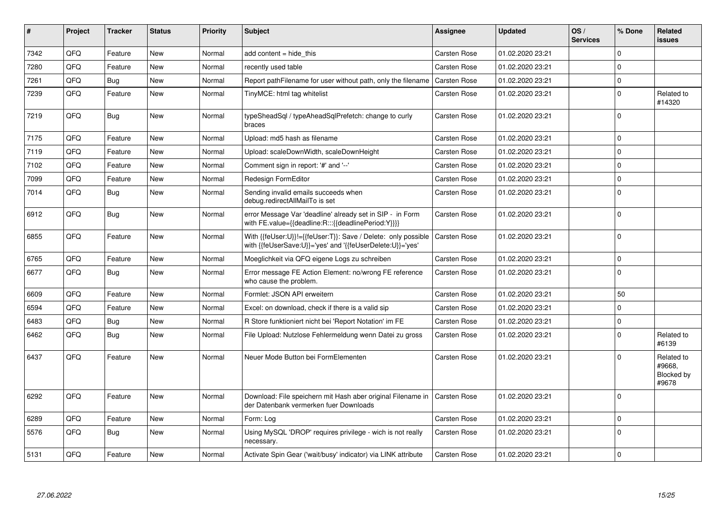| #    | Project | <b>Tracker</b> | <b>Status</b> | <b>Priority</b> | <b>Subject</b>                                                                                                             | Assignee            | <b>Updated</b>   | OS/<br><b>Services</b> | % Done      | Related<br><b>issues</b>                           |
|------|---------|----------------|---------------|-----------------|----------------------------------------------------------------------------------------------------------------------------|---------------------|------------------|------------------------|-------------|----------------------------------------------------|
| 7342 | QFQ     | Feature        | New           | Normal          | add content = hide this                                                                                                    | <b>Carsten Rose</b> | 01.02.2020 23:21 |                        | $\Omega$    |                                                    |
| 7280 | QFQ     | Feature        | <b>New</b>    | Normal          | recently used table                                                                                                        | Carsten Rose        | 01.02.2020 23:21 |                        | $\mathbf 0$ |                                                    |
| 7261 | QFQ     | <b>Bug</b>     | New           | Normal          | Report pathFilename for user without path, only the filename                                                               | <b>Carsten Rose</b> | 01.02.2020 23:21 |                        | $\mathbf 0$ |                                                    |
| 7239 | QFQ     | Feature        | New           | Normal          | TinyMCE: html tag whitelist                                                                                                | Carsten Rose        | 01.02.2020 23:21 |                        | $\mathbf 0$ | Related to<br>#14320                               |
| 7219 | QFQ     | Bug            | New           | Normal          | typeSheadSql / typeAheadSqlPrefetch: change to curly<br>braces                                                             | Carsten Rose        | 01.02.2020 23:21 |                        | $\Omega$    |                                                    |
| 7175 | QFQ     | Feature        | <b>New</b>    | Normal          | Upload: md5 hash as filename                                                                                               | Carsten Rose        | 01.02.2020 23:21 |                        | $\mathbf 0$ |                                                    |
| 7119 | QFQ     | Feature        | New           | Normal          | Upload: scaleDownWidth, scaleDownHeight                                                                                    | <b>Carsten Rose</b> | 01.02.2020 23:21 |                        | $\mathbf 0$ |                                                    |
| 7102 | QFQ     | Feature        | New           | Normal          | Comment sign in report: '#' and '--'                                                                                       | Carsten Rose        | 01.02.2020 23:21 |                        | $\mathbf 0$ |                                                    |
| 7099 | QFQ     | Feature        | <b>New</b>    | Normal          | Redesign FormEditor                                                                                                        | Carsten Rose        | 01.02.2020 23:21 |                        | $\mathbf 0$ |                                                    |
| 7014 | QFQ     | <b>Bug</b>     | New           | Normal          | Sending invalid emails succeeds when<br>debug.redirectAllMailTo is set                                                     | Carsten Rose        | 01.02.2020 23:21 |                        | $\Omega$    |                                                    |
| 6912 | QFQ     | Bug            | <b>New</b>    | Normal          | error Message Var 'deadline' already set in SIP - in Form<br>with FE.value={{deadline:R:::{{deadlinePeriod:Y}}}}           | Carsten Rose        | 01.02.2020 23:21 |                        | $\Omega$    |                                                    |
| 6855 | QFQ     | Feature        | New           | Normal          | With {{feUser:U}}!={{feUser:T}}: Save / Delete: only possible<br>with {{feUserSave:U}}='yes' and '{{feUserDelete:U}}='yes' | Carsten Rose        | 01.02.2020 23:21 |                        | $\mathbf 0$ |                                                    |
| 6765 | QFQ     | Feature        | New           | Normal          | Moeglichkeit via QFQ eigene Logs zu schreiben                                                                              | <b>Carsten Rose</b> | 01.02.2020 23:21 |                        | $\mathbf 0$ |                                                    |
| 6677 | QFQ     | <b>Bug</b>     | New           | Normal          | Error message FE Action Element: no/wrong FE reference<br>who cause the problem.                                           | Carsten Rose        | 01.02.2020 23:21 |                        | $\mathbf 0$ |                                                    |
| 6609 | QFQ     | Feature        | <b>New</b>    | Normal          | Formlet: JSON API erweitern                                                                                                | Carsten Rose        | 01.02.2020 23:21 |                        | 50          |                                                    |
| 6594 | QFQ     | Feature        | <b>New</b>    | Normal          | Excel: on download, check if there is a valid sip                                                                          | Carsten Rose        | 01.02.2020 23:21 |                        | $\mathbf 0$ |                                                    |
| 6483 | QFQ     | <b>Bug</b>     | New           | Normal          | R Store funktioniert nicht bei 'Report Notation' im FE                                                                     | <b>Carsten Rose</b> | 01.02.2020 23:21 |                        | $\mathbf 0$ |                                                    |
| 6462 | QFQ     | Bug            | New           | Normal          | File Upload: Nutzlose Fehlermeldung wenn Datei zu gross                                                                    | Carsten Rose        | 01.02.2020 23:21 |                        | $\Omega$    | Related to<br>#6139                                |
| 6437 | QFQ     | Feature        | New           | Normal          | Neuer Mode Button bei FormElementen                                                                                        | <b>Carsten Rose</b> | 01.02.2020 23:21 |                        | $\Omega$    | Related to<br>#9668,<br><b>Blocked by</b><br>#9678 |
| 6292 | QFQ     | Feature        | New           | Normal          | Download: File speichern mit Hash aber original Filename in<br>der Datenbank vermerken fuer Downloads                      | Carsten Rose        | 01.02.2020 23:21 |                        | $\Omega$    |                                                    |
| 6289 | QFQ     | Feature        | <b>New</b>    | Normal          | Form: Log                                                                                                                  | <b>Carsten Rose</b> | 01.02.2020 23:21 |                        | $\mathbf 0$ |                                                    |
| 5576 | QFQ     | Bug            | New           | Normal          | Using MySQL 'DROP' requires privilege - wich is not really<br>necessary.                                                   | Carsten Rose        | 01.02.2020 23:21 |                        | $\mathbf 0$ |                                                    |
| 5131 | QFQ     | Feature        | New           | Normal          | Activate Spin Gear ('wait/busy' indicator) via LINK attribute                                                              | <b>Carsten Rose</b> | 01.02.2020 23:21 |                        | $\Omega$    |                                                    |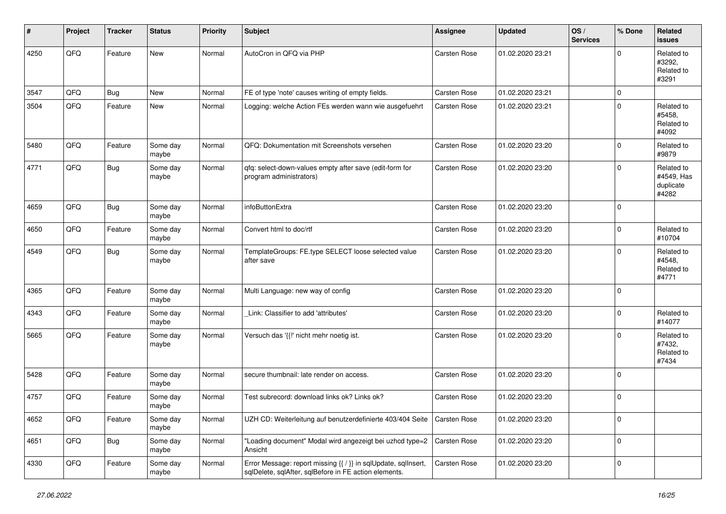| #    | Project | <b>Tracker</b> | <b>Status</b>     | <b>Priority</b> | <b>Subject</b>                                                                                                          | <b>Assignee</b> | <b>Updated</b>   | OS/<br><b>Services</b> | % Done      | Related<br><b>issues</b>                       |
|------|---------|----------------|-------------------|-----------------|-------------------------------------------------------------------------------------------------------------------------|-----------------|------------------|------------------------|-------------|------------------------------------------------|
| 4250 | QFQ     | Feature        | New               | Normal          | AutoCron in QFQ via PHP                                                                                                 | Carsten Rose    | 01.02.2020 23:21 |                        | $\Omega$    | Related to<br>#3292,<br>Related to<br>#3291    |
| 3547 | QFQ     | <b>Bug</b>     | <b>New</b>        | Normal          | FE of type 'note' causes writing of empty fields.                                                                       | Carsten Rose    | 01.02.2020 23:21 |                        | $\mathbf 0$ |                                                |
| 3504 | QFQ     | Feature        | New               | Normal          | Logging: welche Action FEs werden wann wie ausgefuehrt                                                                  | Carsten Rose    | 01.02.2020 23:21 |                        | $\Omega$    | Related to<br>#5458.<br>Related to<br>#4092    |
| 5480 | QFQ     | Feature        | Some day<br>maybe | Normal          | QFQ: Dokumentation mit Screenshots versehen                                                                             | Carsten Rose    | 01.02.2020 23:20 |                        | $\mathbf 0$ | Related to<br>#9879                            |
| 4771 | QFQ     | Bug            | Some day<br>maybe | Normal          | qfq: select-down-values empty after save (edit-form for<br>program administrators)                                      | Carsten Rose    | 01.02.2020 23:20 |                        | $\Omega$    | Related to<br>#4549, Has<br>duplicate<br>#4282 |
| 4659 | QFQ     | <b>Bug</b>     | Some day<br>maybe | Normal          | infoButtonExtra                                                                                                         | Carsten Rose    | 01.02.2020 23:20 |                        | $\mathbf 0$ |                                                |
| 4650 | QFQ     | Feature        | Some day<br>maybe | Normal          | Convert html to doc/rtf                                                                                                 | Carsten Rose    | 01.02.2020 23:20 |                        | $\mathbf 0$ | Related to<br>#10704                           |
| 4549 | QFQ     | Bug            | Some day<br>maybe | Normal          | TemplateGroups: FE.type SELECT loose selected value<br>after save                                                       | Carsten Rose    | 01.02.2020 23:20 |                        | $\mathbf 0$ | Related to<br>#4548,<br>Related to<br>#4771    |
| 4365 | QFQ     | Feature        | Some day<br>maybe | Normal          | Multi Language: new way of config                                                                                       | Carsten Rose    | 01.02.2020 23:20 |                        | $\mathbf 0$ |                                                |
| 4343 | QFQ     | Feature        | Some day<br>maybe | Normal          | Link: Classifier to add 'attributes'                                                                                    | Carsten Rose    | 01.02.2020 23:20 |                        | $\mathbf 0$ | Related to<br>#14077                           |
| 5665 | QFQ     | Feature        | Some day<br>maybe | Normal          | Versuch das '{{!' nicht mehr noetig ist.                                                                                | Carsten Rose    | 01.02.2020 23:20 |                        | $\Omega$    | Related to<br>#7432,<br>Related to<br>#7434    |
| 5428 | QFQ     | Feature        | Some day<br>maybe | Normal          | secure thumbnail: late render on access.                                                                                | Carsten Rose    | 01.02.2020 23:20 |                        | $\mathbf 0$ |                                                |
| 4757 | QFQ     | Feature        | Some day<br>maybe | Normal          | Test subrecord: download links ok? Links ok?                                                                            | Carsten Rose    | 01.02.2020 23:20 |                        | $\mathbf 0$ |                                                |
| 4652 | QFQ     | Feature        | Some day<br>maybe | Normal          | UZH CD: Weiterleitung auf benutzerdefinierte 403/404 Seite                                                              | Carsten Rose    | 01.02.2020 23:20 |                        | $\mathbf 0$ |                                                |
| 4651 | QFQ     | <b>Bug</b>     | Some day<br>maybe | Normal          | "Loading document" Modal wird angezeigt bei uzhcd type=2<br>Ansicht                                                     | Carsten Rose    | 01.02.2020 23:20 |                        | $\mathbf 0$ |                                                |
| 4330 | QFQ     | Feature        | Some day<br>maybe | Normal          | Error Message: report missing {{ / }} in sqlUpdate, sqlInsert,<br>sqlDelete, sqlAfter, sqlBefore in FE action elements. | Carsten Rose    | 01.02.2020 23:20 |                        | $\mathbf 0$ |                                                |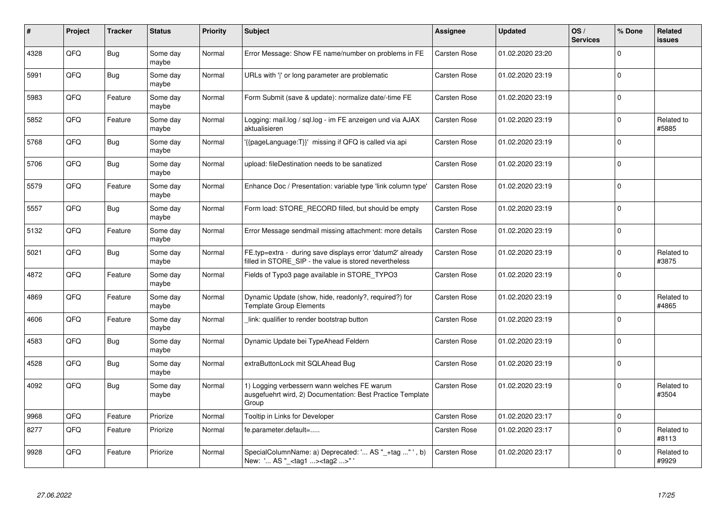| #    | Project | <b>Tracker</b> | <b>Status</b>     | <b>Priority</b> | <b>Subject</b>                                                                                                       | <b>Assignee</b>     | <b>Updated</b>   | OS/<br><b>Services</b> | % Done         | Related<br>issues   |
|------|---------|----------------|-------------------|-----------------|----------------------------------------------------------------------------------------------------------------------|---------------------|------------------|------------------------|----------------|---------------------|
| 4328 | QFQ     | <b>Bug</b>     | Some day<br>maybe | Normal          | Error Message: Show FE name/number on problems in FE                                                                 | <b>Carsten Rose</b> | 01.02.2020 23:20 |                        | $\Omega$       |                     |
| 5991 | QFQ     | Bug            | Some day<br>maybe | Normal          | URLs with 'I' or long parameter are problematic                                                                      | Carsten Rose        | 01.02.2020 23:19 |                        | $\Omega$       |                     |
| 5983 | QFQ     | Feature        | Some day<br>maybe | Normal          | Form Submit (save & update): normalize date/-time FE                                                                 | Carsten Rose        | 01.02.2020 23:19 |                        | $\mathsf 0$    |                     |
| 5852 | QFQ     | Feature        | Some day<br>maybe | Normal          | Logging: mail.log / sql.log - im FE anzeigen und via AJAX<br>aktualisieren                                           | Carsten Rose        | 01.02.2020 23:19 |                        | 0              | Related to<br>#5885 |
| 5768 | QFQ     | Bug            | Some day<br>maybe | Normal          | '{{pageLanguage:T}}' missing if QFQ is called via api                                                                | <b>Carsten Rose</b> | 01.02.2020 23:19 |                        | $\Omega$       |                     |
| 5706 | QFQ     | Bug            | Some day<br>maybe | Normal          | upload: fileDestination needs to be sanatized                                                                        | <b>Carsten Rose</b> | 01.02.2020 23:19 |                        | 0              |                     |
| 5579 | QFQ     | Feature        | Some day<br>maybe | Normal          | Enhance Doc / Presentation: variable type 'link column type'                                                         | Carsten Rose        | 01.02.2020 23:19 |                        | 0              |                     |
| 5557 | QFQ     | <b>Bug</b>     | Some day<br>maybe | Normal          | Form load: STORE_RECORD filled, but should be empty                                                                  | Carsten Rose        | 01.02.2020 23:19 |                        | $\overline{0}$ |                     |
| 5132 | QFQ     | Feature        | Some day<br>maybe | Normal          | Error Message sendmail missing attachment: more details                                                              | <b>Carsten Rose</b> | 01.02.2020 23:19 |                        | $\mathbf 0$    |                     |
| 5021 | QFQ     | Bug            | Some day<br>maybe | Normal          | FE.typ=extra - during save displays error 'datum2' already<br>filled in STORE SIP - the value is stored nevertheless | <b>Carsten Rose</b> | 01.02.2020 23:19 |                        | $\mathsf 0$    | Related to<br>#3875 |
| 4872 | QFQ     | Feature        | Some day<br>maybe | Normal          | Fields of Typo3 page available in STORE_TYPO3                                                                        | Carsten Rose        | 01.02.2020 23:19 |                        | 0              |                     |
| 4869 | QFQ     | Feature        | Some day<br>maybe | Normal          | Dynamic Update (show, hide, readonly?, required?) for<br><b>Template Group Elements</b>                              | <b>Carsten Rose</b> | 01.02.2020 23:19 |                        | 0              | Related to<br>#4865 |
| 4606 | QFQ     | Feature        | Some day<br>maybe | Normal          | link: qualifier to render bootstrap button                                                                           | Carsten Rose        | 01.02.2020 23:19 |                        | $\Omega$       |                     |
| 4583 | QFQ     | Bug            | Some day<br>maybe | Normal          | Dynamic Update bei TypeAhead Feldern                                                                                 | Carsten Rose        | 01.02.2020 23:19 |                        | 0              |                     |
| 4528 | QFQ     | <b>Bug</b>     | Some day<br>maybe | Normal          | extraButtonLock mit SQLAhead Bug                                                                                     | Carsten Rose        | 01.02.2020 23:19 |                        | $\Omega$       |                     |
| 4092 | QFQ     | Bug            | Some day<br>maybe | Normal          | 1) Logging verbessern wann welches FE warum<br>ausgefuehrt wird, 2) Documentation: Best Practice Template<br>Group   | <b>Carsten Rose</b> | 01.02.2020 23:19 |                        | $\Omega$       | Related to<br>#3504 |
| 9968 | QFQ     | Feature        | Priorize          | Normal          | Tooltip in Links for Developer                                                                                       | Carsten Rose        | 01.02.2020 23:17 |                        | $\mathbf 0$    |                     |
| 8277 | QFQ     | Feature        | Priorize          | Normal          | fe.parameter.default=                                                                                                | Carsten Rose        | 01.02.2020 23:17 |                        | $\mathbf 0$    | Related to<br>#8113 |
| 9928 | QFQ     | Feature        | Priorize          | Normal          | SpecialColumnName: a) Deprecated: ' AS "_+tag " ', b)<br>New: ' AS "_ <tag1><tag2>" '</tag2></tag1>                  | Carsten Rose        | 01.02.2020 23:17 |                        | $\Omega$       | Related to<br>#9929 |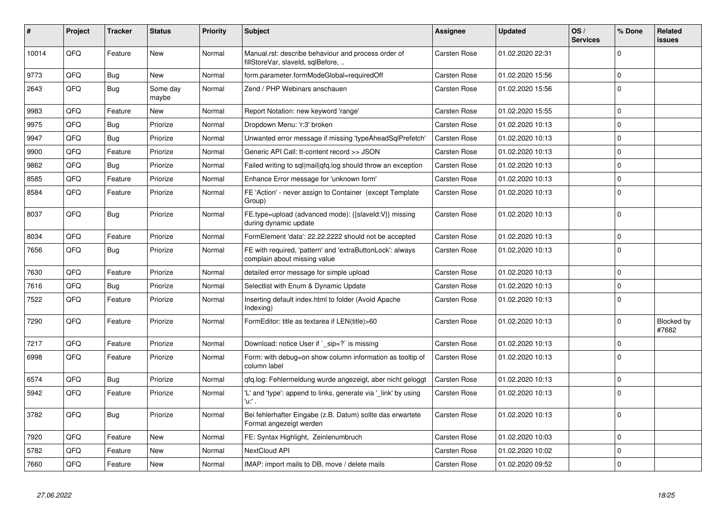| #     | Project | <b>Tracker</b> | <b>Status</b>     | <b>Priority</b> | <b>Subject</b>                                                                            | <b>Assignee</b>     | Updated          | OS/<br><b>Services</b> | % Done      | Related<br><b>issues</b> |
|-------|---------|----------------|-------------------|-----------------|-------------------------------------------------------------------------------------------|---------------------|------------------|------------------------|-------------|--------------------------|
| 10014 | QFQ     | Feature        | <b>New</b>        | Normal          | Manual.rst: describe behaviour and process order of<br>fillStoreVar, slaveId, sqlBefore,  | Carsten Rose        | 01.02.2020 22:31 |                        | $\mathbf 0$ |                          |
| 9773  | QFQ     | Bug            | <b>New</b>        | Normal          | form.parameter.formModeGlobal=requiredOff                                                 | <b>Carsten Rose</b> | 01.02.2020 15:56 |                        | $\mathbf 0$ |                          |
| 2643  | QFQ     | <b>Bug</b>     | Some day<br>maybe | Normal          | Zend / PHP Webinars anschauen                                                             | Carsten Rose        | 01.02.2020 15:56 |                        | $\pmb{0}$   |                          |
| 9983  | QFQ     | Feature        | New               | Normal          | Report Notation: new keyword 'range'                                                      | Carsten Rose        | 01.02.2020 15:55 |                        | $\Omega$    |                          |
| 9975  | QFQ     | Bug            | Priorize          | Normal          | Dropdown Menu: 'r:3' broken                                                               | Carsten Rose        | 01.02.2020 10:13 |                        | $\mathbf 0$ |                          |
| 9947  | QFQ     | <b>Bug</b>     | Priorize          | Normal          | Unwanted error message if missing 'typeAheadSqlPrefetch'                                  | Carsten Rose        | 01.02.2020 10:13 |                        | $\mathbf 0$ |                          |
| 9900  | QFQ     | Feature        | Priorize          | Normal          | Generic API Call: tt-content record >> JSON                                               | Carsten Rose        | 01.02.2020 10:13 |                        | $\mathbf 0$ |                          |
| 9862  | QFQ     | Bug            | Priorize          | Normal          | Failed writing to sql mail qfq.log should throw an exception                              | <b>Carsten Rose</b> | 01.02.2020 10:13 |                        | $\mathbf 0$ |                          |
| 8585  | QFQ     | Feature        | Priorize          | Normal          | Enhance Error message for 'unknown form'                                                  | Carsten Rose        | 01.02.2020 10:13 |                        | $\mathbf 0$ |                          |
| 8584  | QFQ     | Feature        | Priorize          | Normal          | FE 'Action' - never assign to Container (except Template<br>Group)                        | Carsten Rose        | 01.02.2020 10:13 |                        | $\mathbf 0$ |                          |
| 8037  | QFQ     | Bug            | Priorize          | Normal          | FE.type=upload (advanced mode): {{slaveld:V}} missing<br>during dynamic update            | Carsten Rose        | 01.02.2020 10:13 |                        | $\mathbf 0$ |                          |
| 8034  | QFQ     | Feature        | Priorize          | Normal          | FormElement 'data': 22.22.2222 should not be accepted                                     | <b>Carsten Rose</b> | 01.02.2020 10:13 |                        | $\pmb{0}$   |                          |
| 7656  | QFQ     | <b>Bug</b>     | Priorize          | Normal          | FE with required, 'pattern' and 'extraButtonLock': always<br>complain about missing value | Carsten Rose        | 01.02.2020 10:13 |                        | $\mathbf 0$ |                          |
| 7630  | QFQ     | Feature        | Priorize          | Normal          | detailed error message for simple upload                                                  | <b>Carsten Rose</b> | 01.02.2020 10:13 |                        | $\mathbf 0$ |                          |
| 7616  | QFQ     | Bug            | Priorize          | Normal          | Selectlist with Enum & Dynamic Update                                                     | Carsten Rose        | 01.02.2020 10:13 |                        | $\pmb{0}$   |                          |
| 7522  | QFQ     | Feature        | Priorize          | Normal          | Inserting default index.html to folder (Avoid Apache<br>Indexing)                         | Carsten Rose        | 01.02.2020 10:13 |                        | $\Omega$    |                          |
| 7290  | QFQ     | Feature        | Priorize          | Normal          | FormEditor: title as textarea if LEN(title)>60                                            | Carsten Rose        | 01.02.2020 10:13 |                        | $\pmb{0}$   | Blocked by<br>#7682      |
| 7217  | QFQ     | Feature        | Priorize          | Normal          | Download: notice User if `_sip=?` is missing                                              | <b>Carsten Rose</b> | 01.02.2020 10:13 |                        | $\mathbf 0$ |                          |
| 6998  | QFQ     | Feature        | Priorize          | Normal          | Form: with debug=on show column information as tooltip of<br>column label                 | Carsten Rose        | 01.02.2020 10:13 |                        | $\mathbf 0$ |                          |
| 6574  | QFQ     | <b>Bug</b>     | Priorize          | Normal          | qfq.log: Fehlermeldung wurde angezeigt, aber nicht geloggt                                | Carsten Rose        | 01.02.2020 10:13 |                        | $\mathbf 0$ |                          |
| 5942  | QFQ     | Feature        | Priorize          | Normal          | 'L' and 'type': append to links, generate via '_link' by using<br>'u:' .                  | Carsten Rose        | 01.02.2020 10:13 |                        | $\mathbf 0$ |                          |
| 3782  | QFQ     | <b>Bug</b>     | Priorize          | Normal          | Bei fehlerhafter Eingabe (z.B. Datum) sollte das erwartete<br>Format angezeigt werden     | Carsten Rose        | 01.02.2020 10:13 |                        | $\pmb{0}$   |                          |
| 7920  | QFQ     | Feature        | <b>New</b>        | Normal          | FE: Syntax Highlight, Zeinlenumbruch                                                      | Carsten Rose        | 01.02.2020 10:03 |                        | $\mathbf 0$ |                          |
| 5782  | QFQ     | Feature        | <b>New</b>        | Normal          | NextCloud API                                                                             | Carsten Rose        | 01.02.2020 10:02 |                        | $\mathbf 0$ |                          |
| 7660  | QFQ     | Feature        | <b>New</b>        | Normal          | IMAP: import mails to DB, move / delete mails                                             | Carsten Rose        | 01.02.2020 09:52 |                        | $\mathbf 0$ |                          |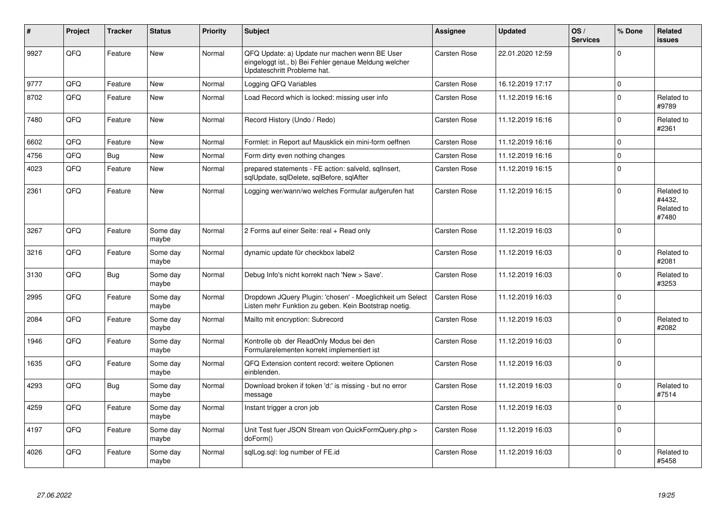| #    | Project | <b>Tracker</b> | <b>Status</b>     | <b>Priority</b> | <b>Subject</b>                                                                                                                        | <b>Assignee</b>     | <b>Updated</b>   | OS/<br><b>Services</b> | % Done      | Related<br>issues                           |
|------|---------|----------------|-------------------|-----------------|---------------------------------------------------------------------------------------------------------------------------------------|---------------------|------------------|------------------------|-------------|---------------------------------------------|
| 9927 | QFQ     | Feature        | <b>New</b>        | Normal          | QFQ Update: a) Update nur machen wenn BE User<br>eingeloggt ist., b) Bei Fehler genaue Meldung welcher<br>Updateschritt Probleme hat. | <b>Carsten Rose</b> | 22.01.2020 12:59 |                        | $\Omega$    |                                             |
| 9777 | QFQ     | Feature        | <b>New</b>        | Normal          | Logging QFQ Variables                                                                                                                 | Carsten Rose        | 16.12.2019 17:17 |                        | 0           |                                             |
| 8702 | QFQ     | Feature        | <b>New</b>        | Normal          | Load Record which is locked: missing user info                                                                                        | Carsten Rose        | 11.12.2019 16:16 |                        | 0           | Related to<br>#9789                         |
| 7480 | QFQ     | Feature        | New               | Normal          | Record History (Undo / Redo)                                                                                                          | Carsten Rose        | 11.12.2019 16:16 |                        | 0           | Related to<br>#2361                         |
| 6602 | QFQ     | Feature        | New               | Normal          | Formlet: in Report auf Mausklick ein mini-form oeffnen                                                                                | Carsten Rose        | 11.12.2019 16:16 |                        | $\Omega$    |                                             |
| 4756 | QFQ     | <b>Bug</b>     | <b>New</b>        | Normal          | Form dirty even nothing changes                                                                                                       | Carsten Rose        | 11.12.2019 16:16 |                        | $\mathsf 0$ |                                             |
| 4023 | QFQ     | Feature        | <b>New</b>        | Normal          | prepared statements - FE action: salveld, sqllnsert,<br>sqlUpdate, sqlDelete, sqlBefore, sqlAfter                                     | Carsten Rose        | 11.12.2019 16:15 |                        | $\mathbf 0$ |                                             |
| 2361 | QFQ     | Feature        | <b>New</b>        | Normal          | Logging wer/wann/wo welches Formular aufgerufen hat                                                                                   | Carsten Rose        | 11.12.2019 16:15 |                        | 0           | Related to<br>#4432.<br>Related to<br>#7480 |
| 3267 | QFQ     | Feature        | Some day<br>maybe | Normal          | 2 Forms auf einer Seite: real + Read only                                                                                             | <b>Carsten Rose</b> | 11.12.2019 16:03 |                        | $\Omega$    |                                             |
| 3216 | QFQ     | Feature        | Some day<br>maybe | Normal          | dynamic update für checkbox label2                                                                                                    | Carsten Rose        | 11.12.2019 16:03 |                        | 0           | Related to<br>#2081                         |
| 3130 | QFQ     | Bug            | Some day<br>maybe | Normal          | Debug Info's nicht korrekt nach 'New > Save'.                                                                                         | <b>Carsten Rose</b> | 11.12.2019 16:03 |                        | 0           | Related to<br>#3253                         |
| 2995 | QFQ     | Feature        | Some day<br>maybe | Normal          | Dropdown JQuery Plugin: 'chosen' - Moeglichkeit um Select<br>Listen mehr Funktion zu geben. Kein Bootstrap noetig.                    | <b>Carsten Rose</b> | 11.12.2019 16:03 |                        | 0           |                                             |
| 2084 | QFQ     | Feature        | Some day<br>maybe | Normal          | Mailto mit encryption: Subrecord                                                                                                      | Carsten Rose        | 11.12.2019 16:03 |                        | $\Omega$    | Related to<br>#2082                         |
| 1946 | QFQ     | Feature        | Some day<br>maybe | Normal          | Kontrolle ob der ReadOnly Modus bei den<br>Formularelementen korrekt implementiert ist                                                | Carsten Rose        | 11.12.2019 16:03 |                        | $\Omega$    |                                             |
| 1635 | QFQ     | Feature        | Some day<br>maybe | Normal          | QFQ Extension content record: weitere Optionen<br>einblenden.                                                                         | <b>Carsten Rose</b> | 11.12.2019 16:03 |                        | $\Omega$    |                                             |
| 4293 | QFQ     | Bug            | Some day<br>maybe | Normal          | Download broken if token 'd:' is missing - but no error<br>message                                                                    | Carsten Rose        | 11.12.2019 16:03 |                        | $\Omega$    | Related to<br>#7514                         |
| 4259 | QFQ     | Feature        | Some day<br>maybe | Normal          | Instant trigger a cron job                                                                                                            | Carsten Rose        | 11.12.2019 16:03 |                        | $\Omega$    |                                             |
| 4197 | QFQ     | Feature        | Some day<br>maybe | Normal          | Unit Test fuer JSON Stream von QuickFormQuery.php ><br>doForm()                                                                       | Carsten Rose        | 11.12.2019 16:03 |                        | $\Omega$    |                                             |
| 4026 | QFQ     | Feature        | Some day<br>maybe | Normal          | sglLog.sgl: log number of FE.id                                                                                                       | <b>Carsten Rose</b> | 11.12.2019 16:03 |                        | $\Omega$    | Related to<br>#5458                         |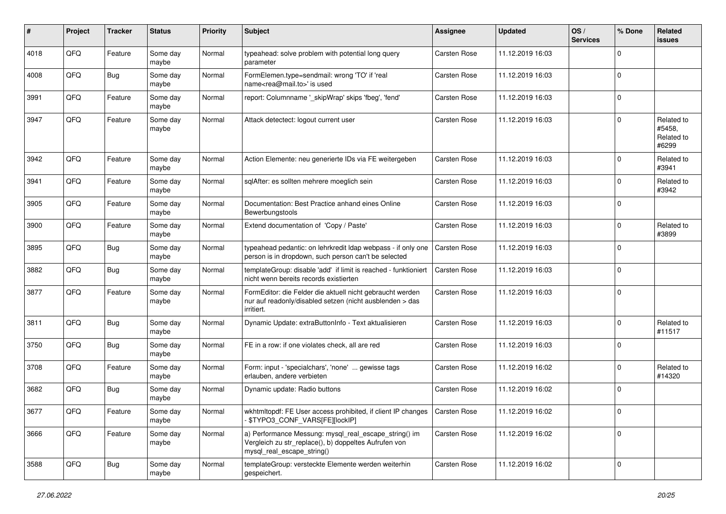| #    | Project | <b>Tracker</b> | <b>Status</b>     | <b>Priority</b> | <b>Subject</b>                                                                                                                               | Assignee            | <b>Updated</b>   | OS/<br><b>Services</b> | % Done      | Related<br><b>issues</b>                    |
|------|---------|----------------|-------------------|-----------------|----------------------------------------------------------------------------------------------------------------------------------------------|---------------------|------------------|------------------------|-------------|---------------------------------------------|
| 4018 | QFQ     | Feature        | Some day<br>maybe | Normal          | typeahead: solve problem with potential long query<br>parameter                                                                              | <b>Carsten Rose</b> | 11.12.2019 16:03 |                        | $\Omega$    |                                             |
| 4008 | QFQ     | Bug            | Some day<br>maybe | Normal          | FormElemen.type=sendmail: wrong 'TO' if 'real<br>name <rea@mail.to>' is used</rea@mail.to>                                                   | Carsten Rose        | 11.12.2019 16:03 |                        | $\Omega$    |                                             |
| 3991 | QFQ     | Feature        | Some day<br>maybe | Normal          | report: Columnname '_skipWrap' skips 'fbeg', 'fend'                                                                                          | Carsten Rose        | 11.12.2019 16:03 |                        | $\mathbf 0$ |                                             |
| 3947 | QFQ     | Feature        | Some day<br>maybe | Normal          | Attack detectect: logout current user                                                                                                        | Carsten Rose        | 11.12.2019 16:03 |                        | $\Omega$    | Related to<br>#5458.<br>Related to<br>#6299 |
| 3942 | QFQ     | Feature        | Some day<br>maybe | Normal          | Action Elemente: neu generierte IDs via FE weitergeben                                                                                       | Carsten Rose        | 11.12.2019 16:03 |                        | $\Omega$    | Related to<br>#3941                         |
| 3941 | QFQ     | Feature        | Some day<br>maybe | Normal          | sqlAfter: es sollten mehrere moeglich sein                                                                                                   | Carsten Rose        | 11.12.2019 16:03 |                        | $\mathbf 0$ | Related to<br>#3942                         |
| 3905 | QFQ     | Feature        | Some day<br>maybe | Normal          | Documentation: Best Practice anhand eines Online<br>Bewerbungstools                                                                          | Carsten Rose        | 11.12.2019 16:03 |                        | $\Omega$    |                                             |
| 3900 | QFQ     | Feature        | Some day<br>maybe | Normal          | Extend documentation of 'Copy / Paste'                                                                                                       | Carsten Rose        | 11.12.2019 16:03 |                        | $\Omega$    | Related to<br>#3899                         |
| 3895 | QFQ     | <b>Bug</b>     | Some day<br>maybe | Normal          | typeahead pedantic: on lehrkredit Idap webpass - if only one<br>person is in dropdown, such person can't be selected                         | Carsten Rose        | 11.12.2019 16:03 |                        | $\Omega$    |                                             |
| 3882 | QFQ     | <b>Bug</b>     | Some day<br>maybe | Normal          | templateGroup: disable 'add' if limit is reached - funktioniert<br>nicht wenn bereits records existierten                                    | <b>Carsten Rose</b> | 11.12.2019 16:03 |                        | $\mathbf 0$ |                                             |
| 3877 | QFQ     | Feature        | Some day<br>maybe | Normal          | FormEditor: die Felder die aktuell nicht gebraucht werden<br>nur auf readonly/disabled setzen (nicht ausblenden > das<br>irritiert.          | Carsten Rose        | 11.12.2019 16:03 |                        | $\mathbf 0$ |                                             |
| 3811 | QFQ     | <b>Bug</b>     | Some day<br>maybe | Normal          | Dynamic Update: extraButtonInfo - Text aktualisieren                                                                                         | <b>Carsten Rose</b> | 11.12.2019 16:03 |                        | $\mathbf 0$ | Related to<br>#11517                        |
| 3750 | QFQ     | <b>Bug</b>     | Some day<br>maybe | Normal          | FE in a row: if one violates check, all are red                                                                                              | <b>Carsten Rose</b> | 11.12.2019 16:03 |                        | $\mathbf 0$ |                                             |
| 3708 | QFQ     | Feature        | Some day<br>maybe | Normal          | Form: input - 'specialchars', 'none'  gewisse tags<br>erlauben, andere verbieten                                                             | <b>Carsten Rose</b> | 11.12.2019 16:02 |                        | $\Omega$    | Related to<br>#14320                        |
| 3682 | QFQ     | <b>Bug</b>     | Some day<br>maybe | Normal          | Dynamic update: Radio buttons                                                                                                                | Carsten Rose        | 11.12.2019 16:02 |                        | $\Omega$    |                                             |
| 3677 | QFQ     | Feature        | Some day<br>maybe | Normal          | wkhtmltopdf: FE User access prohibited, if client IP changes   Carsten Rose<br>- \$TYPO3 CONF VARS[FE][lockIP]                               |                     | 11.12.2019 16:02 |                        |             |                                             |
| 3666 | QFQ     | Feature        | Some day<br>maybe | Normal          | a) Performance Messung: mysql_real_escape_string() im<br>Vergleich zu str_replace(), b) doppeltes Aufrufen von<br>mysql_real_escape_string() | Carsten Rose        | 11.12.2019 16:02 |                        | $\mathbf 0$ |                                             |
| 3588 | QFO     | <b>Bug</b>     | Some day<br>maybe | Normal          | templateGroup: versteckte Elemente werden weiterhin<br>gespeichert.                                                                          | Carsten Rose        | 11.12.2019 16:02 |                        | $\mathbf 0$ |                                             |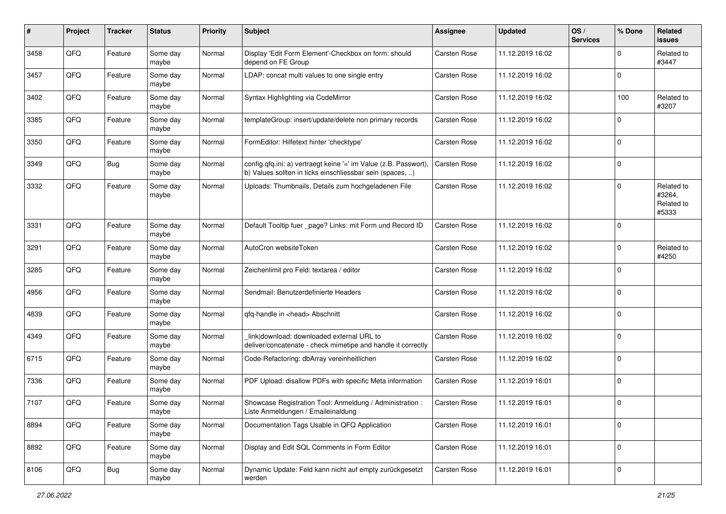| #    | Project | <b>Tracker</b> | <b>Status</b>     | <b>Priority</b> | <b>Subject</b>                                                                                                                | <b>Assignee</b>     | <b>Updated</b>   | OS/<br><b>Services</b> | % Done      | Related<br><b>issues</b>                    |
|------|---------|----------------|-------------------|-----------------|-------------------------------------------------------------------------------------------------------------------------------|---------------------|------------------|------------------------|-------------|---------------------------------------------|
| 3458 | QFQ     | Feature        | Some day<br>maybe | Normal          | Display 'Edit Form Element'-Checkbox on form: should<br>depend on FE Group                                                    | Carsten Rose        | 11.12.2019 16:02 |                        | $\mathbf 0$ | Related to<br>#3447                         |
| 3457 | QFQ     | Feature        | Some day<br>maybe | Normal          | LDAP: concat multi values to one single entry                                                                                 | Carsten Rose        | 11.12.2019 16:02 |                        | $\mathbf 0$ |                                             |
| 3402 | QFQ     | Feature        | Some day<br>maybe | Normal          | Syntax Highlighting via CodeMirror                                                                                            | Carsten Rose        | 11.12.2019 16:02 |                        | 100         | Related to<br>#3207                         |
| 3385 | QFQ     | Feature        | Some day<br>maybe | Normal          | templateGroup: insert/update/delete non primary records                                                                       | Carsten Rose        | 11.12.2019 16:02 |                        | $\mathbf 0$ |                                             |
| 3350 | QFQ     | Feature        | Some day<br>maybe | Normal          | FormEditor: Hilfetext hinter 'checktype'                                                                                      | Carsten Rose        | 11.12.2019 16:02 |                        | $\mathbf 0$ |                                             |
| 3349 | QFQ     | <b>Bug</b>     | Some day<br>maybe | Normal          | config.qfq.ini: a) vertraegt keine '=' im Value (z.B. Passwort),<br>b) Values sollten in ticks einschliessbar sein (spaces, ) | Carsten Rose        | 11.12.2019 16:02 |                        | $\mathbf 0$ |                                             |
| 3332 | QFQ     | Feature        | Some day<br>maybe | Normal          | Uploads: Thumbnails, Details zum hochgeladenen File                                                                           | Carsten Rose        | 11.12.2019 16:02 |                        | $\mathbf 0$ | Related to<br>#3264,<br>Related to<br>#5333 |
| 3331 | QFQ     | Feature        | Some day<br>maybe | Normal          | Default Tooltip fuer _page? Links: mit Form und Record ID                                                                     | Carsten Rose        | 11.12.2019 16:02 |                        | $\mathbf 0$ |                                             |
| 3291 | QFQ     | Feature        | Some day<br>maybe | Normal          | AutoCron websiteToken                                                                                                         | Carsten Rose        | 11.12.2019 16:02 |                        | $\mathbf 0$ | Related to<br>#4250                         |
| 3285 | QFQ     | Feature        | Some day<br>maybe | Normal          | Zeichenlimit pro Feld: textarea / editor                                                                                      | <b>Carsten Rose</b> | 11.12.2019 16:02 |                        | $\mathbf 0$ |                                             |
| 4956 | QFQ     | Feature        | Some day<br>maybe | Normal          | Sendmail: Benutzerdefinierte Headers                                                                                          | Carsten Rose        | 11.12.2019 16:02 |                        | $\mathbf 0$ |                                             |
| 4839 | QFQ     | Feature        | Some day<br>maybe | Normal          | qfq-handle in <head> Abschnitt</head>                                                                                         | Carsten Rose        | 11.12.2019 16:02 |                        | $\mathbf 0$ |                                             |
| 4349 | QFQ     | Feature        | Some day<br>maybe | Normal          | link download: downloaded external URL to<br>deliver/concatenate - check mimetipe and handle it correctly                     | Carsten Rose        | 11.12.2019 16:02 |                        | $\mathbf 0$ |                                             |
| 6715 | QFQ     | Feature        | Some day<br>maybe | Normal          | Code-Refactoring: dbArray vereinheitlichen                                                                                    | Carsten Rose        | 11.12.2019 16:02 |                        | $\mathbf 0$ |                                             |
| 7336 | QFQ     | Feature        | Some day<br>maybe | Normal          | PDF Upload: disallow PDFs with specific Meta information                                                                      | Carsten Rose        | 11.12.2019 16:01 |                        | $\mathbf 0$ |                                             |
| 7107 | QFQ     | Feature        | Some day<br>maybe | Normal          | Showcase Registration Tool: Anmeldung / Administration :<br>Liste Anmeldungen / Emaileinaldung                                | Carsten Rose        | 11.12.2019 16:01 |                        | $\mathbf 0$ |                                             |
| 8894 | QFQ     | Feature        | Some day<br>maybe | Normal          | Documentation Tags Usable in QFQ Application                                                                                  | Carsten Rose        | 11.12.2019 16:01 |                        | $\mathbf 0$ |                                             |
| 8892 | QFQ     | Feature        | Some day<br>maybe | Normal          | Display and Edit SQL Comments in Form Editor                                                                                  | Carsten Rose        | 11.12.2019 16:01 |                        | $\mathbf 0$ |                                             |
| 8106 | QFQ     | <b>Bug</b>     | Some day<br>maybe | Normal          | Dynamic Update: Feld kann nicht auf empty zurückgesetzt<br>werden                                                             | Carsten Rose        | 11.12.2019 16:01 |                        | $\pmb{0}$   |                                             |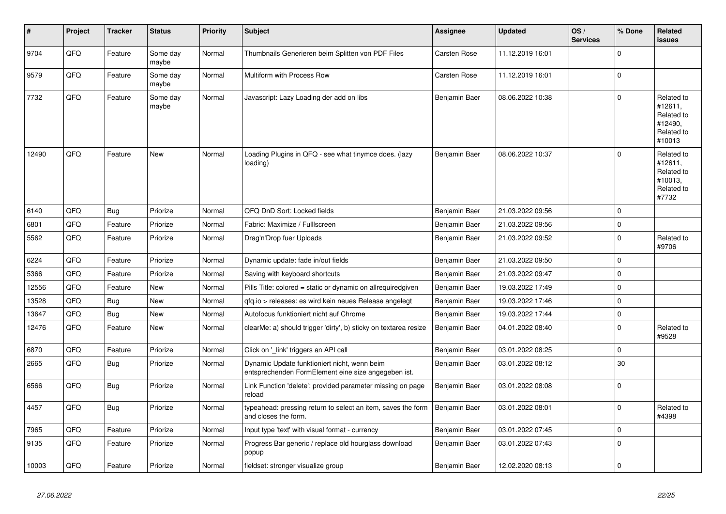| ∦     | Project | <b>Tracker</b> | <b>Status</b>     | <b>Priority</b> | Subject                                                                                             | <b>Assignee</b> | <b>Updated</b>   | OS/<br><b>Services</b> | % Done      | Related<br><b>issues</b>                                               |
|-------|---------|----------------|-------------------|-----------------|-----------------------------------------------------------------------------------------------------|-----------------|------------------|------------------------|-------------|------------------------------------------------------------------------|
| 9704  | QFQ     | Feature        | Some day<br>maybe | Normal          | Thumbnails Generieren beim Splitten von PDF Files                                                   | Carsten Rose    | 11.12.2019 16:01 |                        | $\mathbf 0$ |                                                                        |
| 9579  | QFQ     | Feature        | Some day<br>maybe | Normal          | Multiform with Process Row                                                                          | Carsten Rose    | 11.12.2019 16:01 |                        | $\mathbf 0$ |                                                                        |
| 7732  | QFQ     | Feature        | Some day<br>maybe | Normal          | Javascript: Lazy Loading der add on libs                                                            | Benjamin Baer   | 08.06.2022 10:38 |                        | $\Omega$    | Related to<br>#12611,<br>Related to<br>#12490.<br>Related to<br>#10013 |
| 12490 | QFQ     | Feature        | New               | Normal          | Loading Plugins in QFQ - see what tinymce does. (lazy<br>loading)                                   | Benjamin Baer   | 08.06.2022 10:37 |                        | $\Omega$    | Related to<br>#12611,<br>Related to<br>#10013,<br>Related to<br>#7732  |
| 6140  | QFQ     | <b>Bug</b>     | Priorize          | Normal          | QFQ DnD Sort: Locked fields                                                                         | Benjamin Baer   | 21.03.2022 09:56 |                        | $\mathbf 0$ |                                                                        |
| 6801  | QFQ     | Feature        | Priorize          | Normal          | Fabric: Maximize / Fulllscreen                                                                      | Benjamin Baer   | 21.03.2022 09:56 |                        | $\mathbf 0$ |                                                                        |
| 5562  | QFQ     | Feature        | Priorize          | Normal          | Drag'n'Drop fuer Uploads                                                                            | Benjamin Baer   | 21.03.2022 09:52 |                        | $\mathbf 0$ | Related to<br>#9706                                                    |
| 6224  | QFQ     | Feature        | Priorize          | Normal          | Dynamic update: fade in/out fields                                                                  | Benjamin Baer   | 21.03.2022 09:50 |                        | $\mathbf 0$ |                                                                        |
| 5366  | QFQ     | Feature        | Priorize          | Normal          | Saving with keyboard shortcuts                                                                      | Benjamin Baer   | 21.03.2022 09:47 |                        | $\mathbf 0$ |                                                                        |
| 12556 | QFQ     | Feature        | <b>New</b>        | Normal          | Pills Title: colored = static or dynamic on allrequiredgiven                                        | Benjamin Baer   | 19.03.2022 17:49 |                        | $\mathbf 0$ |                                                                        |
| 13528 | QFQ     | <b>Bug</b>     | <b>New</b>        | Normal          | gfg.io > releases: es wird kein neues Release angelegt                                              | Benjamin Baer   | 19.03.2022 17:46 |                        | $\mathbf 0$ |                                                                        |
| 13647 | QFQ     | <b>Bug</b>     | <b>New</b>        | Normal          | Autofocus funktioniert nicht auf Chrome                                                             | Benjamin Baer   | 19.03.2022 17:44 |                        | $\pmb{0}$   |                                                                        |
| 12476 | QFQ     | Feature        | <b>New</b>        | Normal          | clearMe: a) should trigger 'dirty', b) sticky on textarea resize                                    | Benjamin Baer   | 04.01.2022 08:40 |                        | $\Omega$    | Related to<br>#9528                                                    |
| 6870  | QFQ     | Feature        | Priorize          | Normal          | Click on '_link' triggers an API call                                                               | Benjamin Baer   | 03.01.2022 08:25 |                        | $\mathbf 0$ |                                                                        |
| 2665  | QFQ     | Bug            | Priorize          | Normal          | Dynamic Update funktioniert nicht, wenn beim<br>entsprechenden FormElement eine size angegeben ist. | Benjamin Baer   | 03.01.2022 08:12 |                        | 30          |                                                                        |
| 6566  | QFO     | <b>Bug</b>     | Priorize          | Normal          | Link Function 'delete': provided parameter missing on page<br>reload                                | Benjamin Baer   | 03.01.2022 08:08 |                        | $\mathbf 0$ |                                                                        |
| 4457  | QFQ     | <b>Bug</b>     | Priorize          | Normal          | typeahead: pressing return to select an item, saves the form<br>and closes the form.                | Benjamin Baer   | 03.01.2022 08:01 |                        | $\Omega$    | Related to<br>#4398                                                    |
| 7965  | QFQ     | Feature        | Priorize          | Normal          | Input type 'text' with visual format - currency                                                     | Benjamin Baer   | 03.01.2022 07:45 |                        | $\mathbf 0$ |                                                                        |
| 9135  | QFQ     | Feature        | Priorize          | Normal          | Progress Bar generic / replace old hourglass download<br>popup                                      | Benjamin Baer   | 03.01.2022 07:43 |                        | $\mathbf 0$ |                                                                        |
| 10003 | QFQ     | Feature        | Priorize          | Normal          | fieldset: stronger visualize group                                                                  | Benjamin Baer   | 12.02.2020 08:13 |                        | $\mathbf 0$ |                                                                        |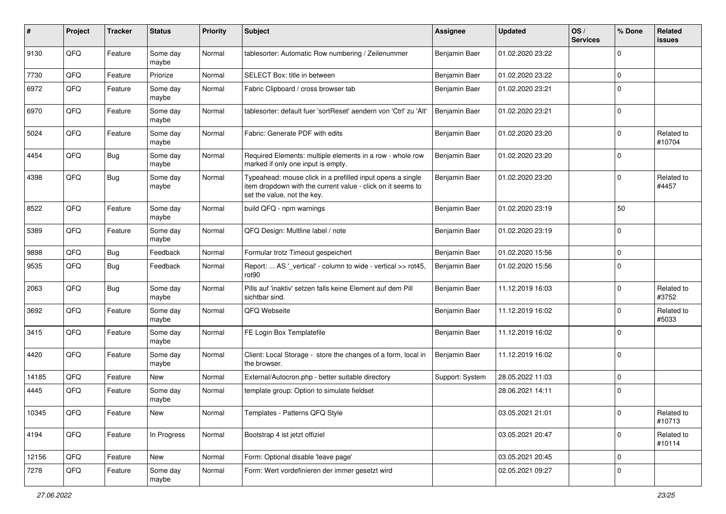| #     | Project | <b>Tracker</b> | <b>Status</b>     | <b>Priority</b> | <b>Subject</b>                                                                                                                                           | <b>Assignee</b> | <b>Updated</b>   | OS/<br><b>Services</b> | % Done      | Related<br>issues    |
|-------|---------|----------------|-------------------|-----------------|----------------------------------------------------------------------------------------------------------------------------------------------------------|-----------------|------------------|------------------------|-------------|----------------------|
| 9130  | QFQ     | Feature        | Some day<br>maybe | Normal          | tablesorter: Automatic Row numbering / Zeilenummer                                                                                                       | Benjamin Baer   | 01.02.2020 23:22 |                        | $\mathbf 0$ |                      |
| 7730  | QFQ     | Feature        | Priorize          | Normal          | SELECT Box: title in between                                                                                                                             | Benjamin Baer   | 01.02.2020 23:22 |                        | $\mathbf 0$ |                      |
| 6972  | QFQ     | Feature        | Some day<br>maybe | Normal          | Fabric Clipboard / cross browser tab                                                                                                                     | Benjamin Baer   | 01.02.2020 23:21 |                        | $\Omega$    |                      |
| 6970  | QFQ     | Feature        | Some day<br>maybe | Normal          | tablesorter: default fuer 'sortReset' aendern von 'Ctrl' zu 'Alt'                                                                                        | Benjamin Baer   | 01.02.2020 23:21 |                        | $\mathbf 0$ |                      |
| 5024  | QFQ     | Feature        | Some day<br>maybe | Normal          | Fabric: Generate PDF with edits                                                                                                                          | Benjamin Baer   | 01.02.2020 23:20 |                        | 0           | Related to<br>#10704 |
| 4454  | QFQ     | Bug            | Some day<br>maybe | Normal          | Required Elements: multiple elements in a row - whole row<br>marked if only one input is empty.                                                          | Benjamin Baer   | 01.02.2020 23:20 |                        | $\Omega$    |                      |
| 4398  | QFQ     | Bug            | Some day<br>maybe | Normal          | Typeahead: mouse click in a prefilled input opens a single<br>item dropdown with the current value - click on it seems to<br>set the value, not the key. | Benjamin Baer   | 01.02.2020 23:20 |                        | 0           | Related to<br>#4457  |
| 8522  | QFQ     | Feature        | Some day<br>maybe | Normal          | build QFQ - npm warnings                                                                                                                                 | Benjamin Baer   | 01.02.2020 23:19 |                        | 50          |                      |
| 5389  | QFQ     | Feature        | Some day<br>maybe | Normal          | QFQ Design: Multline label / note                                                                                                                        | Benjamin Baer   | 01.02.2020 23:19 |                        | $\mathbf 0$ |                      |
| 9898  | QFQ     | <b>Bug</b>     | Feedback          | Normal          | Formular trotz Timeout gespeichert                                                                                                                       | Benjamin Baer   | 01.02.2020 15:56 |                        | 0           |                      |
| 9535  | QFQ     | Bug            | Feedback          | Normal          | Report:  AS '_vertical' - column to wide - vertical >> rot45,<br>rot90                                                                                   | Benjamin Baer   | 01.02.2020 15:56 |                        | $\Omega$    |                      |
| 2063  | QFQ     | <b>Bug</b>     | Some day<br>maybe | Normal          | Pills auf 'inaktiv' setzen falls keine Element auf dem Pill<br>sichtbar sind.                                                                            | Benjamin Baer   | 11.12.2019 16:03 |                        | 0           | Related to<br>#3752  |
| 3692  | QFQ     | Feature        | Some day<br>maybe | Normal          | QFQ Webseite                                                                                                                                             | Benjamin Baer   | 11.12.2019 16:02 |                        | $\Omega$    | Related to<br>#5033  |
| 3415  | QFQ     | Feature        | Some day<br>maybe | Normal          | FE Login Box Templatefile                                                                                                                                | Benjamin Baer   | 11.12.2019 16:02 |                        | 0           |                      |
| 4420  | QFQ     | Feature        | Some day<br>maybe | Normal          | Client: Local Storage - store the changes of a form, local in<br>the browser.                                                                            | Benjamin Baer   | 11.12.2019 16:02 |                        | $\mathbf 0$ |                      |
| 14185 | QFQ     | Feature        | New               | Normal          | External/Autocron.php - better suitable directory                                                                                                        | Support: System | 28.05.2022 11:03 |                        | 0           |                      |
| 4445  | QFQ     | Feature        | Some day<br>maybe | Normal          | template group: Option to simulate fieldset                                                                                                              |                 | 28.06.2021 14:11 |                        | $\mathbf 0$ |                      |
| 10345 | QFQ     | Feature        | New               | Normal          | Templates - Patterns QFQ Style                                                                                                                           |                 | 03.05.2021 21:01 |                        | $\pmb{0}$   | Related to<br>#10713 |
| 4194  | QFQ     | Feature        | In Progress       | Normal          | Bootstrap 4 ist jetzt offiziel                                                                                                                           |                 | 03.05.2021 20:47 |                        | $\pmb{0}$   | Related to<br>#10114 |
| 12156 | QFQ     | Feature        | New               | Normal          | Form: Optional disable 'leave page'                                                                                                                      |                 | 03.05.2021 20:45 |                        | $\pmb{0}$   |                      |
| 7278  | QFQ     | Feature        | Some day<br>maybe | Normal          | Form: Wert vordefinieren der immer gesetzt wird                                                                                                          |                 | 02.05.2021 09:27 |                        | 0           |                      |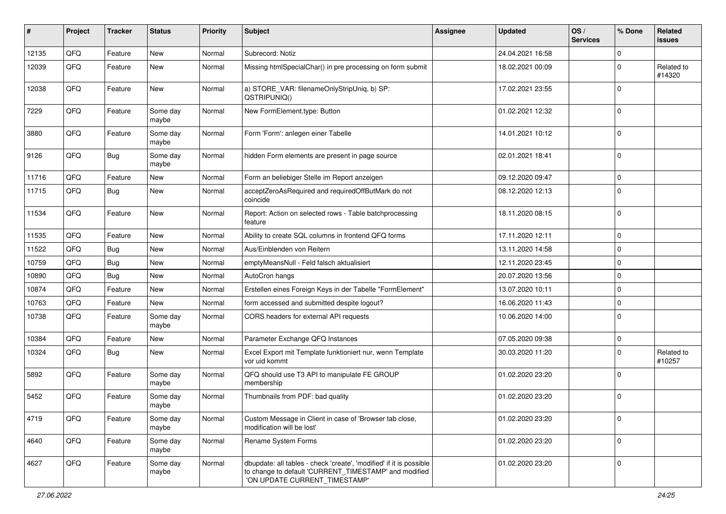| #     | Project | <b>Tracker</b> | <b>Status</b>     | <b>Priority</b> | <b>Subject</b>                                                                                                                                                | Assignee | <b>Updated</b>   | OS/<br><b>Services</b> | % Done      | Related<br><b>issues</b> |
|-------|---------|----------------|-------------------|-----------------|---------------------------------------------------------------------------------------------------------------------------------------------------------------|----------|------------------|------------------------|-------------|--------------------------|
| 12135 | QFQ     | Feature        | <b>New</b>        | Normal          | Subrecord: Notiz                                                                                                                                              |          | 24.04.2021 16:58 |                        | $\mathbf 0$ |                          |
| 12039 | QFQ     | Feature        | New               | Normal          | Missing htmlSpecialChar() in pre processing on form submit                                                                                                    |          | 18.02.2021 00:09 |                        | $\Omega$    | Related to<br>#14320     |
| 12038 | QFQ     | Feature        | New               | Normal          | a) STORE_VAR: filenameOnlyStripUniq, b) SP:<br>QSTRIPUNIQ()                                                                                                   |          | 17.02.2021 23:55 |                        | $\Omega$    |                          |
| 7229  | QFQ     | Feature        | Some day<br>maybe | Normal          | New FormElement.type: Button                                                                                                                                  |          | 01.02.2021 12:32 |                        | $\Omega$    |                          |
| 3880  | QFQ     | Feature        | Some day<br>maybe | Normal          | Form 'Form': anlegen einer Tabelle                                                                                                                            |          | 14.01.2021 10:12 |                        | $\mathbf 0$ |                          |
| 9126  | QFQ     | <b>Bug</b>     | Some day<br>maybe | Normal          | hidden Form elements are present in page source                                                                                                               |          | 02.01.2021 18:41 |                        | $\Omega$    |                          |
| 11716 | QFQ     | Feature        | New               | Normal          | Form an beliebiger Stelle im Report anzeigen                                                                                                                  |          | 09.12.2020 09:47 |                        | $\mathbf 0$ |                          |
| 11715 | QFQ     | Bug            | New               | Normal          | acceptZeroAsRequired and requiredOffButMark do not<br>coincide                                                                                                |          | 08.12.2020 12:13 |                        | $\Omega$    |                          |
| 11534 | QFQ     | Feature        | New               | Normal          | Report: Action on selected rows - Table batchprocessing<br>feature                                                                                            |          | 18.11.2020 08:15 |                        | $\mathbf 0$ |                          |
| 11535 | QFQ     | Feature        | New               | Normal          | Ability to create SQL columns in frontend QFQ forms                                                                                                           |          | 17.11.2020 12:11 |                        | $\mathbf 0$ |                          |
| 11522 | QFQ     | <b>Bug</b>     | New               | Normal          | Aus/Einblenden von Reitern                                                                                                                                    |          | 13.11.2020 14:58 |                        | $\mathbf 0$ |                          |
| 10759 | QFQ     | <b>Bug</b>     | New               | Normal          | emptyMeansNull - Feld falsch aktualisiert                                                                                                                     |          | 12.11.2020 23:45 |                        | $\Omega$    |                          |
| 10890 | QFQ     | <b>Bug</b>     | New               | Normal          | AutoCron hangs                                                                                                                                                |          | 20.07.2020 13:56 |                        | $\mathbf 0$ |                          |
| 10874 | QFQ     | Feature        | New               | Normal          | Erstellen eines Foreign Keys in der Tabelle "FormElement"                                                                                                     |          | 13.07.2020 10:11 |                        | $\mathbf 0$ |                          |
| 10763 | QFQ     | Feature        | New               | Normal          | form accessed and submitted despite logout?                                                                                                                   |          | 16.06.2020 11:43 |                        | $\mathbf 0$ |                          |
| 10738 | QFQ     | Feature        | Some day<br>maybe | Normal          | CORS headers for external API requests                                                                                                                        |          | 10.06.2020 14:00 |                        | $\mathbf 0$ |                          |
| 10384 | QFQ     | Feature        | New               | Normal          | Parameter Exchange QFQ Instances                                                                                                                              |          | 07.05.2020 09:38 |                        | $\mathbf 0$ |                          |
| 10324 | QFQ     | Bug            | New               | Normal          | Excel Export mit Template funktioniert nur, wenn Template<br>vor uid kommt                                                                                    |          | 30.03.2020 11:20 |                        | $\Omega$    | Related to<br>#10257     |
| 5892  | QFQ     | Feature        | Some day<br>maybe | Normal          | QFQ should use T3 API to manipulate FE GROUP<br>membership                                                                                                    |          | 01.02.2020 23:20 |                        | $\Omega$    |                          |
| 5452  | QFQ     | Feature        | Some day<br>maybe | Normal          | Thumbnails from PDF: bad quality                                                                                                                              |          | 01.02.2020 23:20 |                        | $\mathbf 0$ |                          |
| 4719  | QFQ     | Feature        | Some day<br>maybe | Normal          | Custom Message in Client in case of 'Browser tab close,<br>modification will be lost'                                                                         |          | 01.02.2020 23:20 |                        | $\mathbf 0$ |                          |
| 4640  | QFQ     | Feature        | Some day<br>maybe | Normal          | Rename System Forms                                                                                                                                           |          | 01.02.2020 23:20 |                        | $\mathbf 0$ |                          |
| 4627  | QFQ     | Feature        | Some day<br>maybe | Normal          | dbupdate: all tables - check 'create', 'modified' if it is possible<br>to change to default 'CURRENT TIMESTAMP' and modified<br>'ON UPDATE CURRENT_TIMESTAMP' |          | 01.02.2020 23:20 |                        | $\mathbf 0$ |                          |